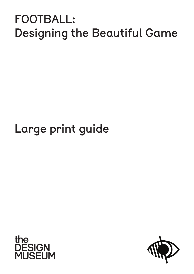## FOOTBALL: Designing the Beautiful Game

## Large print guide



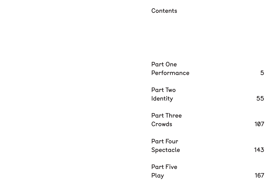### **Contents**

Part One Performance 5

Part Four Spectacle 143

Part Two Identity 55

Part Three Crowds 107

Part Five Play 167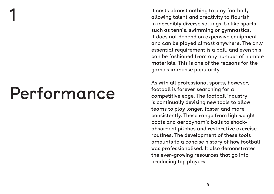It costs almost nothing to play football, allowing talent and creativity to flourish in incredibly diverse settings. Unlike sports such as tennis, swimming or gymnastics, it does not depend on expensive equipment and can be played almost anywhere. The only essential requirement is a ball, and even this can be fashioned from any number of humble materials. This is one of the reasons for the game's immense popularity.

As with all professional sports, however, football is forever searching for a competitive edge. The football industry is continually devising new tools to allow teams to play longer, faster and more consistently. These range from lightweight boots and aerodynamic balls to shockabsorbent pitches and restorative exercise routines. The development of these tools amounts to a concise history of how football was professionalised. It also demonstrates the ever-growing resources that go into producing top players.

# Performance

1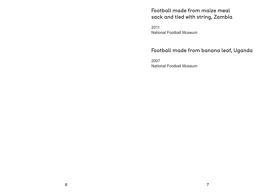### Football made from maize meal sack and tied with string, Zambia

2011 National Football Museum

#### Football made from banana leaf, Uganda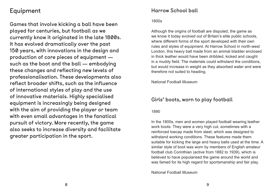### Equipment

Games that involve kicking a ball have been played for centuries, but football as we currently know it originated in the late 1800s. It has evolved dramatically over the past 150 years, with innovations in the design and production of core pieces of equipment such as the boot and the ball — embodying these changes and reflecting new levels of professionalisation. These developments also reflect broader shifts, such as the influence of international styles of play and the use of innovative materials. Highly specialised equipment is increasingly being designed with the aim of providing the player or team with even small advantages in the fanatical pursuit of victory. More recently, the game also seeks to increase diversity and facilitate greater participation in the sport.

#### Harrow School ball

#### 1800s

Although the origins of football are disputed, the game as we know it today evolved out of Britain's elite public schools, where different forms of the sport developed with their own rules and styles of equipment. At Harrow School in north-west London, this heavy ball made from an animal bladder enclosed in thick leather would have been dribbled, kicked and caught in a muddy field. The materials could withstand the conditions, but would increase in weight as they absorbed water and were therefore not suited to heading.

National Football Museum

#### Girls' boots, worn to play football

1890

In the 1800s, men and women played football wearing leather work boots. They were a very high cut, sometimes with a reinforced toecap made from steel, which was designed to withstand working conditions. These features made them suitable for kicking the large and heavy balls used at the time. A similar style of boot was worn by members of English amateur football club Corinthian (active from 1882 to 1939), which is believed to have popularised the game around the world and was famed for its high regard for sportsmanship and fair play.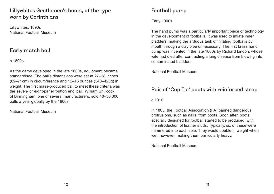#### Lillywhites Gentlemen's boots, of the type worn by Corinthians

Lillywhites, 1890s National Football Museum

#### Early match ball

#### c.1890s

As the game developed in the late 1800s, equipment became standardised. The ball's dimensions were set at 27–28 inches (69–71cm) in circumference and 12–15 ounces (340–425g) in weight. The first mass-produced ball to meet these criteria was the seven- or eight-panel 'button end' ball. William Shillcock of Birmingham, one of several manufacturers, sold 40–50,000 balls a year globally by the 1900s.

National Football Museum

### Football pump

Early 1900s

The hand pump was a particularly important piece of technology in the development of footballs. It was used to inflate inner bladders, making the arduous task of inflating footballs by mouth through a clay pipe unnecessary. The first brass hand pump was invented in the late 1800s by Richard Lindon, whose wife had died after contracting a lung disease from blowing into contaminated bladders.

National Football Museum

#### Pair of 'Cup Tie' boots with reinforced strap

c.1910

In 1863, the Football Association (FA) banned dangerous protrusions, such as nails, from boots. Soon after, boots specially designed for football started to be produced, with the introduction of leather studs. Typically, six of these were hammered into each sole. They would double in weight when wet, however, making them particularly heavy.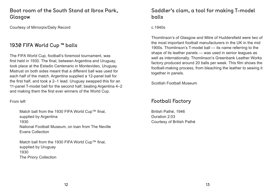### Boot room of the South Stand at Ibrox Park, Glasgow

Courtesy of Mirrorpix/Daily Record

#### 1930 FIFA World Cup ™ balls

The FIFA World Cup, football's foremost tournament, was first held in 1930. The final, between Argentina and Uruguay, took place at the Estadio Centenario in Montevideo, Uruguay. Mistrust on both sides meant that a different ball was used for each half of the match. Argentina supplied a 12-panel ball for the first half, and took a 2–1 lead. Uruguay swapped this for an 11-panel T-model ball for the second half, beating Argentina 4–2 and making them the first ever winners of the World Cup.

From left

Match ball from the 1930 FIFA World Cup™ final, supplied by Argentina 1930 National Football Museum, on loan from The Neville Evans Collection

Match ball from the 1930 FIFA World Cup™ final, supplied by Uruguay 1930 The Priory Collection

### Saddler's clam, a tool for making T-model balls

c.1940s

Thomlinson's of Glasgow and Mitre of Huddersfield were two of the most important football manufacturers in the UK in the mid 1900s. Thomlinson's T-model ball — its name referring to the shape of its leather panels — was used in senior leagues as well as internationally. Thomlinson's Greenbank Leather Works factory produced around 20 balls per week. This film shows the football-making process, from bleaching the leather to sewing it together in panels.

Scottish Football Museum

### Football Factory

British Pathé, 1946 Duration 2:03 Courtesy of British Pathé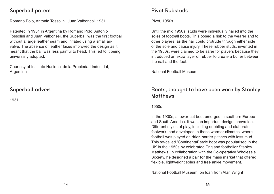#### Superball patent

Romano Polo, Antonia Tossolini, Juan Valbonesi, 1931

Patented in 1931 in Argentina by Romano Polo, Antonio Tossolini and Juan Valbonesi, the Superball was the first football without a large leather seam and inflated using a small airvalve. The absence of leather laces improved the design as it meant that the ball was less painful to head. This led to it being universally adopted.

Courtesy of Instituto Nacional de la Propiedad Industrial, Argentina

#### Superball advert

1931

#### Pivot Rubstuds

Pivot, 1950s

Until the mid 1950s, studs were individually nailed into the soles of football boots. This posed a risk to the wearer and to other players, as the nail could protrude through either side of the sole and cause injury. These rubber studs, invented in the 1950s, were claimed to be safer for players because they introduced an extra layer of rubber to create a buffer between the nail and the foot.

National Football Museum

#### Boots, thought to have been worn by Stanley Matthews

1950s

In the 1930s, a lower-cut boot emerged in southern Europe and South America. It was an important design innovation. Different styles of play, including dribbling and elaborate footwork, had developed in these warmer climates, where football was played on drier, harder pitches with less mud. This so-called 'Continental' style boot was popularised in the UK in the 1950s by celebrated England footballer Stanley Matthews. In collaboration with the Co-operative Wholesale Society, he designed a pair for the mass market that offered flexible, lightweight soles and free ankle movement.

National Football Museum, on loan from Alan Wright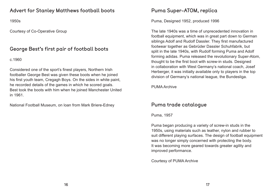#### Advert for Stanley Matthews football boots

1950s

Courtesy of Co-Operative Group

#### George Best's first pair of football boots

c.1960

Considered one of the sport's finest players, Northern Irish footballer George Best was given these boots when he joined his first youth team, Cregagh Boys. On the sides in white paint, he recorded details of the games in which he scored goals. Best took the boots with him when he joined Manchester United in 1961.

National Football Museum, on loan from Mark Briere-Edney

#### Puma Super-ATOM, replica

Puma, Designed 1952, produced 1996

The late 1940s was a time of unprecedented innovation in football equipment, which was in great part down to German siblings Adolf and Rudolf Dassler. They first manufactured footwear together as Gebrüder Dassler Schuhfabrik, but split in the late 1940s, with Rudolf forming Puma and Adolf forming adidas. Puma released the revolutionary Super-Atom, thought to be the first boot with screw-in studs. Designed in collaboration with West Germany's national coach, Josef Herberger, it was initially available only to players in the top division of Germany's national league, the Bundesliga.

PUMA Archive

#### Puma trade catalogue

Puma, 1957

Puma began producing a variety of screw-in studs in the 1950s, using materials such as leather, nylon and rubber to suit different playing surfaces. The design of football equipment was no longer simply concerned with protecting the body. It was becoming more geared towards greater agility and improved performance.

Courtesy of PUMA Archive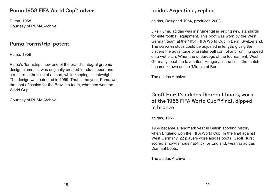#### Puma 1958 FIFA World Cup™ advert

Puma, 1958 Courtesy of PUMA Archive

#### Puma 'formstrip' patent

Puma, 1959

Puma's 'formstrip', now one of the brand's integral graphic design elements, was originally created to add support and structure to the side of a shoe, while keeping it lightweight. The design was patented in 1959. That same year, Puma was the boot of choice for the Brazilian team, who then won the World Cup.

Courtesy of PUMA Archive

#### adidas Argentinia, replica

adidas, Designed 1954, produced 2003

Like Puma, adidas was instrumental in setting new standards for elite football equipment. This boot was worn by the West German team at the 1954 FIFA World Cup in Bern, Switzerland. The screw-in studs could be adjusted in length, giving the players the advantage of greater ball control and running speed on a wet pitch. When the underdogs of the tournament, West Germany, beat the favourites, Hungary, in the final, the match became known as the 'Miracle of Bern'.

The adidas Archive

### Geoff Hurst's adidas Diamant boots, worn at the 1966 FIFA World Cup™ final, dipped in bronze

adidas, 1966

1966 became a landmark year in British sporting history when England won the FIFA World Cup. In the final against West Germany, 22 players wore adidas boots. Geoff Hurst scored a now-famous hat-trick for England, wearing adidas Diamant boots.

The adidas Archive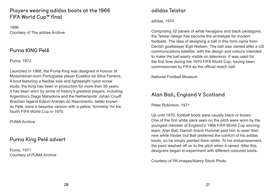#### Players wearing adidas boots at the 1966 FIFA World Cup™ final

1966 Courtesy of The adidas Archive

#### Puma KING Pelé

Puma, 1972

Launched in 1968, the Puma King was designed in honour of Mozambican-born Portuguese player Eusébio da Silva Ferreira. A boot featuring a flexible sole and lightweight nylon screw studs, the King has been in production for more than 50 years. It has been worn by some of history's greatest players, including Argentina's Diego Maradona and the Netherlands' Johan Cruyff. Brazilian legend Edson Arantes do Nascimento, better known as Pelé, wore a bespoke version with a yellow 'formstrip' for his fourth FIFA World Cup in 1970.

PUMA Archive

#### Puma King Pelé advert

Puma, 1971 Courtesy of PUMA Archive

### adidas Telstar

adidas, 1974

Comprising 32 panels of white hexagons and black pentagons, the Telstar design has become the archetype for modern footballs. The idea of designing a ball in this form came from Danish goalkeeper Eigil Nielsen. The ball was named after a US communications satellite, with the design and colours intended to make the ball easily visible on television. It was used for the first time during the 1970 FIFA World Cup, having been commissioned by FIFA as the official match ball.

National Football Museum

#### Alan Ball, England V Scotland

Peter Robinson, 1971

Up until 1970, football boots were usually black or brown. One of the first white pairs seen on the pitch were worn by the youngest member of England's 1966 FIFA World Cup winning team: Alan Ball. Danish brand Hummel paid him to wear their new white model, but Ball preferred the comfort of his adidas boots, so he simply painted them white. To his embarrassment, the paint washed off on to the pitch when it rained. After this, designers began to experiment with different coloured boots.

Courtesy of PA Images/Alamy Stock Photo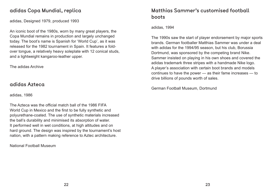#### adidas Copa Mundial, replica

adidas, Designed 1979, produced 1993

An iconic boot of the 1980s, worn by many great players, the Copa Mundial remains in production and largely unchanged today. The boot's name is Spanish for 'World Cup', as it was released for the 1982 tournament in Spain. It features a foldover tongue, a relatively heavy soleplate with 12 conical studs, and a lightweight kangaroo-leather upper.

The adidas Archive

#### adidas Azteca

adidas, 1986

The Azteca was the official match ball of the 1986 FIFA World Cup in Mexico and the first to be fully synthetic and polyurethane-coated. The use of synthetic materials increased the ball's durability and minimised its absorption of water. It performed well in wet conditions, at high altitudes and on hard ground. The design was inspired by the tournament's host nation, with a pattern making reference to Aztec architecture.

National Football Museum

### Matthias Sammer's customised football boots

adidas, 1994

The 1990s saw the start of player endorsement by major sports brands. German footballer Matthias Sammer was under a deal with adidas for the 1994/95 season, but his club, Borussia Dortmund, was sponsored by the competing brand Nike. Sammer insisted on playing in his own shoes and covered the adidas trademark three stripes with a handmade Nike logo. A player's association with certain boot brands and models continues to have the power — as their fame increases — to drive billions of pounds worth of sales.

German Football Museum, Dortmund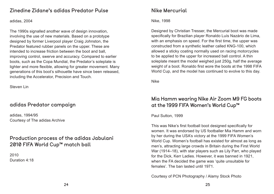#### Zinedine Zidane's adidas Predator Pulse

adidas, 2004

The 1990s signalled another wave of design innovation, involving the use of new materials. Based on a prototype designed by former Liverpool player Craig Johnston, the Predator featured rubber panels on the upper. These are intended to increase friction between the boot and ball, improving control, swerve and accuracy. Compared to earlier boots, such as the Copa Mundial, the Predator's soleplate is lighter and more flexible, allowing for greater movement. Many generations of this boot's silhouette have since been released, including the Accelerator, Precision and Touch.

Steven Lin

#### adidas Predator campaign

adidas, 1994/95 Courtesy of The adidas Archive

#### Production process of the adidas Jabulani 2010 FIFA World Cup™ match ball

2010 Duration 4:18

#### Nike Mercurial

Nike, 1998

Designed by Christian Tresser, the Mercurial boot was made specifically for Brazilian player Ronaldo Luís Nazário de Lima, with an emphasis on speed. For the first time, the upper was constructed from a synthetic leather called KNG-100, which allowed a sticky coating normally used on racing motorcycles to be applied to the upper for increased ball control. A thin soleplate meant the model weighed just 250g, half the average weight of a boot. Ronaldo first wore the boots at the 1998 FIFA World Cup, and the model has continued to evolve to this day.

Nike

#### Mia Hamm wearing Nike Air Zoom M9 FG boots at the 1999 FIFA Women's World Cup™

Paul Sutton, 1999

This was Nike's first football boot designed specifically for women. It was endorsed by US footballer Mia Hamm and worn by her during the USA's victory at the 1999 FIFA Women's World Cup. Women's football has existed for almost as long as men's, attracting large crowds in Britain during the First World War (1914–18), with star players such as Lily Parr, who played for the Dick, Kerr Ladies. However, it was banned in 1921, when the FA decided the game was 'quite unsuitable for females'. The ban lasted until 1971.

Courtesy of PCN Photography / Alamy Stock Photo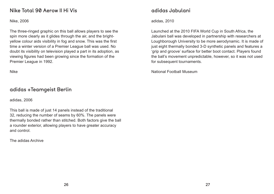#### Nike Total 90 Aerow II Hi Vis

Nike, 2006

The three-ringed graphic on this ball allows players to see the spin more clearly as it glides through the air, and the brightyellow colour aids visibility in fog and snow. This was the first time a winter version of a Premier League ball was used. No doubt its visibility on television played a part in its adoption, as viewing figures had been growing since the formation of the Premier League in 1992.

Nike

#### adidas +Teamgeist Berlin

adidas, 2006

This ball is made of just 14 panels instead of the traditional 32, reducing the number of seams by 60%. The panels were thermally bonded rather than stitched. Both factors give the ball a rounder exterior, allowing players to have greater accuracy and control.

The adidas Archive

#### adidas Jabulani

adidas, 2010

Launched at the 2010 FIFA World Cup in South Africa, the Jabulani ball was developed in partnership with researchers at Loughborough University to be more aerodynamic. It is made of just eight thermally bonded 3-D synthetic panels and features a 'grip and groove' surface for better boot contact. Players found the ball's movement unpredictable, however, so it was not used for subsequent tournaments.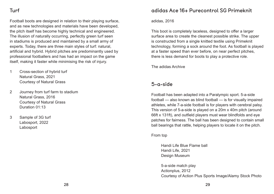Football boots are designed in relation to their playing surface, and as new technologies and materials have been developed, the pitch itself has become highly technical and engineered. The illusion of naturally occurring, perfectly green turf seen in stadiums is produced and maintained by a small army of experts. Today, there are three main styles of turf: natural, artificial and hybrid. Hybrid pitches are predominantly used by professional footballers and has had an impact on the game itself, making it faster while minimising the risk of injury.

- 1 Cross-section of hybrid turf Natural Grass, 2021 Courtesy of Natural Grass
- 2 Journey from turf farm to stadium Natural Grass, 2016 Courtesy of Natural Grass Duration 01:13
- 3 Sample of 3G turf Labosport, 2022 Labosport

#### adidas Ace 16+ Purecontrol SG Primeknit

adidas, 2016

This boot is completely laceless, designed to offer a larger surface area to create the cleanest possible strike. The upper is constructed from a single knitted textile using Primeknit technology, forming a sock around the foot. As football is played at a faster speed than ever before, on near perfect pitches, there is less demand for boots to play a protective role.

The adidas Archive

#### 5-a-side

Football has been adapted into a Paralympic sport. 5-a-side football — also known as blind football — is for visually impaired athletes, while 7-a-side football is for players with cerebral palsy. This version of 5-a-side is played on a 20m x 40m pitch (around 66ft x 131ft), and outfield players must wear blindfolds and eye patches for fairness. The ball has been designed to contain small ball bearings that rattle, helping players to locate it on the pitch.

From top

Handi Life Blue Flame ball Handi Life, 2021 Design Museum

5-a-side match play Actionplus, 2012 Courtesy of Action Plus Sports Image/Alamy Stock Photo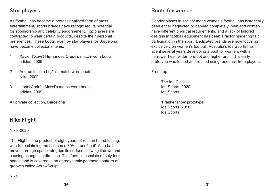#### Star players

As football has become a professionalised form of mass entertainment, sports brands have recognised its potential for sponsorship and celebrity endorsement. Top players are contracted to wear certain products, despite their personal preferences. These boots, worn by star players for Barcelona, have become collector's items.

- 1 Xavier ('Xavi') Hernández Creus's match-worn boots adidas, 2009
- 2 Andrés Iniesta Luján's match-worn boots Nike, 2009
- 3 Lionel Andrés Messi's match-worn boots adidas, 2009

All private collection, Barcelona

#### Nike Flight

Nike, 2020

The Flight is the product of eight years of research and testing, with Nike claiming the ball has a 30% 'truer flight'. As a ball moves through space, air grips its surface, slowing it down and causing changes in direction. This football consists of only four panels and is covered in an aerodynamic geometric pattern of grooves called AerowSculpt.

Nike

#### Boots for women

Gender biases in society mean women's football has historically been either neglected or banned completely. Men and women have different physical requirements, and a lack of tailored designs in football equipment has been a factor hindering fair participation in the sport. Dedicated brands are now focusing exclusively on women's football. Australia's Ida Sports has spent several years developing a boot for women, with a narrower heel, wider forefoot and higher arch. This early prototype was tested and refined using feedback from players.

From top

The Ida Classica Ida Sports, 2020 Ida Sports

'Frankenshoe' prototype Ida Sports, 2018 Ida Sports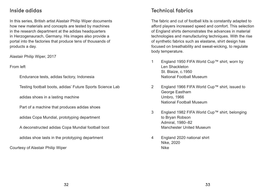#### Inside adidas

In this series, British artist Alastair Philip Wiper documents how new materials and concepts are tested by machines in the research department at the adidas headquarters in Herzogenaurach, Germany. His images also provide a portal into the factories that produce tens of thousands of products a day.

Alastair Philip Wiper, 2017

From left

Endurance tests, adidas factory, Indonesia

Testing football boots, adidas' Future Sports Science Lab

adidas shoes in a lasting machine

Part of a machine that produces adidas shoes

adidas Copa Mundial, prototyping department

A deconstructed adidas Copa Mundial football boot

adidas shoe lasts in the prototyping department

Courtesy of Alastair Philip Wiper

#### Technical fabrics

The fabric and cut of football kits is constantly adapted to afford players increased speed and comfort. This selection of England shirts demonstrates the advances in material technologies and manufacturing techniques. With the rise of synthetic fabrics such as elastane, shirt design has focused on breathability and sweat-wicking, to regulate body temperature.

- 1 England 1950 FIFA World Cup™ shirt, worn by Len Shackleton St. Blaize, c.1950 National Football Museum
- 2 England 1966 FIFA World Cup™ shirt, issued to George Eastham Umbro, 1966 National Football Museum
- 3 England 1982 FIFA World Cup™ shirt, belonging to Bryan Robson Admiral, 1980–82 Manchester United Museum
- 4 England 2020 national shirt Nike, 2020 Nike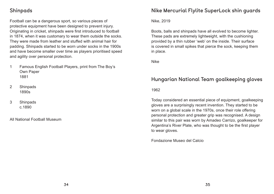Football can be a dangerous sport, so various pieces of protective equipment have been designed to prevent injury. Originating in cricket, shinpads were first introduced to football in 1874, when it was customary to wear them outside the socks. They were made from leather and stuffed with animal hair for padding. Shinpads started to be worn under socks in the 1900s and have become smaller over time as players prioritised speed and agility over personal protection.

- 1 Famous English Football Players, print from The Boy's Own Paper 1881
- 2 Shinpads 1890s
- 3 Shinpads c.1890

All National Football Museum

#### Nike Mercurial Flylite SuperLock shin guards

Nike, 2019

Boots, balls and shinpads have all evolved to become lighter. These pads are extremely lightweight, with the cushioning provided by a thin rubber 'web' on the inside. Their surface is covered in small spikes that pierce the sock, keeping them in place.

Nike

### Hungarian National Team goalkeeping gloves

1962

Today considered an essential piece of equipment, goalkeeping gloves are a surprisingly recent invention. They started to be worn on a global scale in the 1970s, once their role offering personal protection and greater grip was recognised. A design similar to this pair was worn by Amadeo Carrizo, goalkeeper for Argentina's River Plate, who was thought to be the first player to wear gloves.

Fondazione Museo del Calcio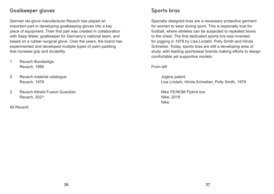#### Goalkeeper gloves

German ski-glove manufacturer Reusch has played an important part in developing goalkeeping gloves into a key piece of equipment. Their first pair was created in collaboration with Sepp Maier, goalkeeper for Germany's national team, and based on a rubber surgical glove. Over the years, the brand has experimented and developed multiple types of palm padding that increase grip and durability.

- 1 Reusch Bundesliga Reusch, 1985
- 2 Reusch material catalogue Reusch, 1978
- 3 Reusch Attrakt Fusion Guardian Reusch, 2021

All Reusch

#### Sports bras

Specially designed bras are a necessary protective garment for women to wear during sport. This is especially true for football, where athletes can be subjected to repeated blows to the chest. The first dedicated sports bra was invented for jogging in 1978 by Lisa Lindahl, Polly Smith and Hinda Schreiber. Today, sports bras are still a developing area of study, with leading sportswear brands making efforts to design comfortable yet supportive models.

From left

Jogbra patent Lisa Lindahl, Hinda Schreiber, Polly Smith, 1979

Nike FE/NOM Flyknit bra Nike, 2019 Nike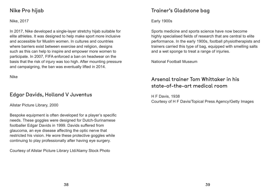#### Nike Pro hijab

Nike, 2017

In 2017, Nike developed a single-layer stretchy hijab suitable for elite athletes. It was designed to help make sport more inclusive and accessible for Muslim women. In cultures and countries where barriers exist between exercise and religion, designs such as this can help to inspire and empower more women to participate. In 2007, FIFA enforced a ban on headwear on the basis that the risk of injury was too high. After mounting pressure and campaigning, the ban was eventually lifted in 2014.

Nike

#### Edgar Davids, Holland V Juventus

Allstar Picture Library, 2000

Bespoke equipment is often developed for a player's specific needs. These goggles were designed for Dutch-Surinamese footballer Edgar Davids in 1999. Davids suffered from glaucoma, an eye disease affecting the optic nerve that restricted his vision. He wore these protective goggles while continuing to play professionally after having eye surgery.

Courtesy of Allstar Picture Library Ltd/Alamy Stock Photo

#### Trainer's Gladstone bag

Early 1900s

Sports medicine and sports science have now become highly specialised fields of research that are central to elite performance. In the early 1900s, football physiotherapists and trainers carried this type of bag, equipped with smelling salts and a wet sponge to treat a range of injuries.

National Football Museum

### Arsenal trainer Tom Whittaker in his state-of-the-art medical room

H F Davis, 1938 Courtesy of H F Davis/Topical Press Agency/Getty Images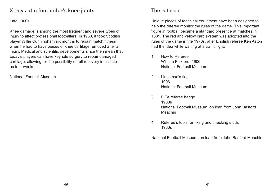#### X-rays of a footballer's knee joints

#### Late 1900s

Knee damage is among the most frequent and severe types of injury to affect professional footballers. In 1960, it took Scottish player Willie Cunningham six months to regain match fitness when he had to have pieces of knee cartilage removed after an injury. Medical and scientific developments since then mean that today's players can have keyhole surgery to repair damaged cartilage, allowing for the possibility of full recovery in as little as four weeks.

National Football Museum

#### The referee

Unique pieces of technical equipment have been designed to help the referee monitor the rules of the game. This important figure in football became a standard presence at matches in 1881. The red and yellow card system was adopted into the rules of the game in the 1970s, after English referee Ken Aston had the idea while waiting at a traffic light.

- 1 How to Referee William Pickford, 1906 National Football Museum
- 2 Linesman's flag 1906 National Football Museum
- 3 FIFA referee badge 1980s Meachin
- 4 Referee's tools for fixing and checking studs 1980s

#### National Football Museum, on loan from John Basford

National Football Museum, on loan from John Basford Meachin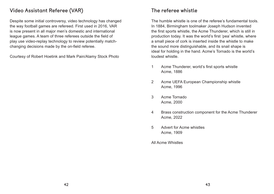#### Video Assistant Referee (VAR)

Despite some initial controversy, video technology has changed the way football games are refereed. First used in 2016, VAR is now present in all major men's domestic and international league games. A team of three referees outside the field of play use video-replay technology to review potentially matchchanging decisions made by the on-field referee.

Courtesy of Robert Hoetink and Mark Pain/Alamy Stock Photo

#### The referee whistle

The humble whistle is one of the referee's fundamental tools. In 1884, Birmingham toolmaker Joseph Hudson invented the first sports whistle, the Acme Thunderer, which is still in production today. It was the world's first 'pea' whistle, where a small piece of cork is inserted inside the whistle to make the sound more distinguishable, and its snail shape is ideal for holding in the hand. Acme's Tornado is the world's loudest whistle.

- 1 Acme Thunderer, world's first sports whistle Acme, 1886
- 2 Acme UEFA European Championship whistle Acme, 1996
- 3 Acme Tornado Acme, 2000
- 4 Brass construction component for the Acme Thunderer Acme, 2022
- 5 Advert for Acme whistles Acme, 1909
- All Acme Whistles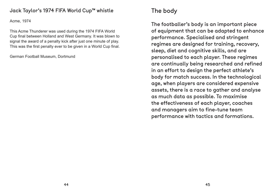#### Jack Taylor's 1974 FIFA World Cup™ whistle

Acme, 1974

This Acme Thunderer was used during the 1974 FIFA World Cup final between Holland and West Germany. It was blown to signal the award of a penalty kick after just one minute of play. This was the first penalty ever to be given in a World Cup final.

German Football Museum, Dortmund

### The body

The footballer's body is an important piece of equipment that can be adapted to enhance performance. Specialised and stringent regimes are designed for training, recovery, sleep, diet and cognitive skills, and are personalised to each player. These regimes are continually being researched and refined in an effort to design the perfect athlete's body for match success. In the technological age, when players are considered expensive assets, there is a race to gather and analyse as much data as possible. To maximise the effectiveness of each player, coaches and managers aim to fine-tune team performance with tactics and formations.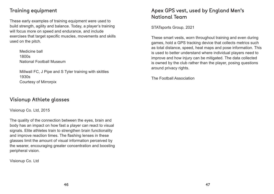#### Training equipment

These early examples of training equipment were used to build strength, agility and balance. Today, a player's training will focus more on speed and endurance, and include exercises that target specific muscles, movements and skills used on the pitch.

Medicine ball 1800s National Football Museum

Millwall FC, J Pipe and S Tyler training with skittles 1930s Courtesy of Mirrorpix

#### Visionup Athlete glasses

Visionup Co. Ltd, 2015

The quality of the connection between the eyes, brain and body has an impact on how fast a player can react to visual signals. Elite athletes train to strengthen brain functionality and improve reaction times. The flashing lenses in these glasses limit the amount of visual information perceived by the wearer, encouraging greater concentration and boosting peripheral vision.

Visionup Co. Ltd

### Apex GPS vest, used by England Men's National Team

STATsports Group, 2021

These smart vests, worn throughout training and even during games, hold a GPS tracking device that collects metrics such as total distance, speed, heat maps and pose information. This is used to better understand where individual players need to improve and how injury can be mitigated. The data collected is owned by the club rather than the player, posing questions around privacy rights.

The Football Association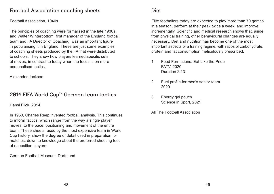#### Football Association coaching sheets

Football Association, 1940s

The principles of coaching were formalised in the late 1930s, and Walter Winterbottom, first manager of the England football team and FA Director of Coaching, was an important figure in popularising it in England. These are just some examples of coaching sheets produced by the FA that were distributed to schools. They show how players learned specific sets of moves, in contrast to today when the focus is on more personalised tactics.

Alexander Jackson

#### 2014 FIFA World Cup™ German team tactics

Hansi Flick, 2014

In 1950, Charles Reep invented football analysis. This continues to inform tactics, which range from the way a single player moves, to the pace, positioning and movement of the entire team. These sheets, used by the most expensive team in World Cup history, show the degree of detail used in preparation for matches, down to knowledge about the preferred shooting foot of opposition players.

German Football Museum, Dortmund

#### Diet

Elite footballers today are expected to play more than 70 games in a season, perform at their peak twice a week, and improve incrementally. Scientific and medical research shows that, aside from physical training, other behavioural changes are equally necessary. Diet and nutrition has become one of the most important aspects of a training regime, with ratios of carbohydrate, protein and fat consumption meticulously prescribed.

- 1 Food Formations: Eat Like the Pride FATV, 2020 Duration 2:13
- 2 Fuel profile for men's senior team 2020
- 3 Energy gel pouch Science in Sport, 2021
- All The Football Association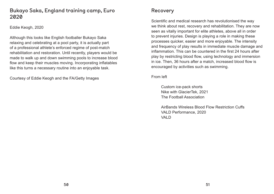#### Bukayo Saka, England training camp, Euro 2020

Eddie Keogh, 2020

Although this looks like English footballer Bukayo Saka relaxing and celebrating at a pool party, it is actually part of a professional athlete's enforced regime of post-match rehabilitation and restoration. Until recently, players would be made to walk up and down swimming pools to increase blood flow and keep their muscles moving. Incorporating inflatables like this turns a necessary routine into an enjoyable task.

Courtesy of Eddie Keogh and the FA/Getty Images

#### Recovery

AirBands Wireless Blood Flow Restriction Cuffs VALD Performance, 2020 VAI<sub>D</sub>

Scientific and medical research has revolutionised the way we think about rest, recovery and rehabilitation. They are now seen as vitally important for elite athletes, above all in order to prevent injuries. Design is playing a role in making these processes quicker, easier and more enjoyable. The intensity and frequency of play results in immediate muscle damage and inflammation. This can be countered in the first 24 hours after play by restricting blood flow, using technology and immersion in ice. Then, 36 hours after a match, increased blood flow is encouraged by activities such as swimming.

From left

Custom ice-pack shorts Nike with GlacierTek, 2021 The Football Association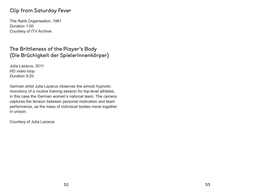#### Clip from Saturday Fever

The Rank Organisation, 1961 Duration 1:00 Courtesy of ITV Archive

#### The Brittleness of the Player's Body (Die Brüchigkeit der Spielerinnenkörper)

Julia Lazarus, 2011 HD video loop Duration 9:20

German artist Julia Lazarus observes the almost hypnotic monotony of a routine training session for top-level athletes, in this case the German women's national team. The camera captures the tension between personal motivation and team performance, as the mass of individual bodies move together in unison.

Courtesy of Julia Lazarus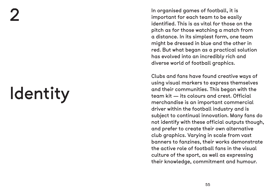# Identity

In organised games of football, it is important for each team to be easily identified. This is as vital for those on the pitch as for those watching a match from a distance. In its simplest form, one team might be dressed in blue and the other in red. But what began as a practical solution has evolved into an incredibly rich and diverse world of football graphics.

Clubs and fans have found creative ways of using visual markers to express themselves and their communities. This began with the team kit — its colours and crest. Official merchandise is an important commercial driver within the football industry and is subject to continual innovation. Many fans do not identify with these official outputs though, and prefer to create their own alternative club graphics. Varying in scale from vast banners to fanzines, their works demonstrate the active role of football fans in the visual culture of the sport, as well as expressing their knowledge, commitment and humour.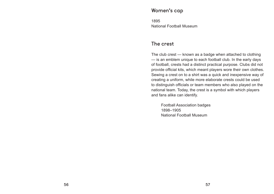#### Women's cap

1895 National Football Museum

#### The crest

The club crest — known as a badge when attached to clothing — is an emblem unique to each football club. In the early days of football, crests had a distinct practical purpose. Clubs did not provide official kits, which meant players wore their own clothes. Sewing a crest on to a shirt was a quick and inexpensive way of creating a uniform, while more elaborate crests could be used to distinguish officials or team members who also played on the national team. Today, the crest is a symbol with which players and fans alike can identify.

Football Association badges 1898–1905 National Football Museum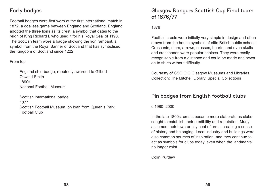#### Early badges

Football badges were first worn at the first international match in 1872, a goalless game between England and Scotland. England adopted the three lions as its crest, a symbol that dates to the reign of King Richard I, who used it for his Royal Seal of 1198. The Scottish team wore a badge showing the lion rampant, a symbol from the Royal Banner of Scotland that has symbolised the Kingdom of Scotland since 1222.

#### From top

England shirt badge, reputedly awarded to Gilbert Oswald Smith 1890s National Football Museum

Scottish international badge 1877 Scottish Football Museum, on loan from Queen's Park Football Club

### Glasgow Rangers Scottish Cup Final team of 1876/77

#### 1876

Football crests were initially very simple in design and often drawn from the house symbols of elite British public schools. Crescents, stars, arrows, crosses, hearts, and even skulls and crossbones were popular choices. They were easily recognisable from a distance and could be made and sewn on to shirts without difficulty.

Courtesty of CSG CIC Glasgow Museums and Libraries Collection: The Mitchell Library, Special Collections

### Pin badges from English football clubs

c.1980–2000

In the late 1800s, crests became more elaborate as clubs sought to establish their credibility and reputation. Many assumed their town or city coat of arms, creating a sense of history and belonging. Local industry and buildings were also common sources of inspiration, and they continue to act as symbols for clubs today, even when the landmarks no longer exist.

Colin Purdew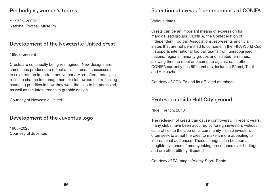#### Pin badges, women's teams

c.1970s–2000s National Football Museum

#### Development of the Newcastle United crest

1890s–present

Crests are continually being reimagined. New designs are sometimes produced to reflect a club's recent successes or to celebrate an important anniversary. More often, redesigns reflect a change in management or club ownership, reflecting changing priorities in how they want the club to be perceived, as well as the latest trends in graphic design.

Courtesy of Newcastle United

#### Development of the Juventus logo

1905–2020 Courtesy of Juventus

#### Selection of crests from members of CONIFA

Various dates

Crests can be an important means of expression for marginalised groups. CONIFA, the Confederation of Independent Football Associations, represents unofficial states that are not permitted to compete in the FIFA World Cup. It supports international football teams from unrecognised nations, regions, minority groups and isolated territories, allowing them to meet and compete against each other. CONIFA currently has 60 members, including Sápmi, Tibet and Abkhazia.

Courtesy of CONIFA and its affiliated members

#### Protests outside Hull City ground

Nigel French, 2018

The redesign of crests can cause controversy. In recent years, many clubs have been acquired by foreign investors without cultural ties to the club or its community. These investors often seek to adapt the crest to make it more appealing to international audiences. These changes can be seen as tangible evidence of money taking precedence over heritage and are often bitterly disputed.

Courtesy of PA Images/Alamy Stock Photo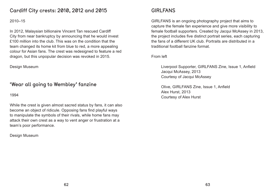#### Cardiff City crests: 2010, 2012 and 2015

#### 2010–15

In 2012, Malaysian billionaire Vincent Tan rescued Cardiff City from near bankruptcy by announcing that he would invest £100 million into the club. This was on the condition that the team changed its home kit from blue to red, a more appealing colour for Asian fans. The crest was redesigned to feature a red dragon, but this unpopular decision was revoked in 2015.

Design Museum

#### 'Wear all going to Wembley' fanzine

1994

While the crest is given almost sacred status by fans, it can also become an object of ridicule. Opposing fans find playful ways to manipulate the symbols of their rivals, while home fans may attack their own crest as a way to vent anger or frustration at a team's poor performance.

Design Museum

### GIRLFANS

GIRLFANS is an ongoing photography project that aims to capture the female fan experience and give more visibility to female football supporters. Created by Jacqui McAssey in 2013, the project includes five distinct portrait series, each capturing the fans of a different UK club. Portraits are distributed in a traditional football fanzine format.

From left

Liverpool Supporter, GIRLFANS Zine, Issue 1, Anfield Jacqui McAssey, 2013 Courtesy of Jacqui McAssey

Olive, GIRLFANS Zine, Issue 1, Anfield Alex Hurst, 2013 Courtesy of Alex Hurst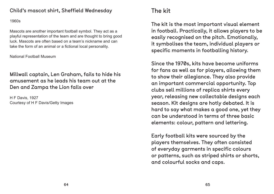#### Child's mascot shirt, Sheffield Wednesday

#### 1960s

Mascots are another important football symbol. They act as a playful representation of the team and are thought to bring good luck. Mascots are often based on a team's nickname and can take the form of an animal or a fictional local personality.

National Football Museum

Millwall captain, Len Graham, fails to hide his amusement as he leads his team out at the Den and Zampa the Lion falls over

H F Davis, 1927 Courtesy of H F Davis/Getty Images

### The kit

The kit is the most important visual element in football. Practically, it allows players to be easily recognised on the pitch. Emotionally, it symbolises the team, individual players or specific moments in footballing history.

Since the 1970s, kits have become uniforms for fans as well as for players, allowing them to show their allegiance. They also provide an important commercial opportunity. Top clubs sell millions of replica shirts every year, releasing new collectable designs each season. Kit designs are hotly debated. It is hard to say what makes a good one, yet they can be understood in terms of three basic elements: colour, pattern and lettering.

Early football kits were sourced by the players themselves. They often consisted of everyday garments in specific colours or patterns, such as striped shirts or shorts, and colourful socks and caps.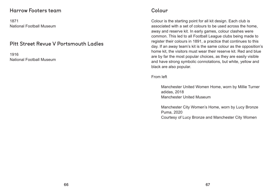#### Harrow Footers team

1871 National Football Museum

#### Pitt Street Revue V Portsmouth Ladies

1916 National Football Museum

#### Colour

Colour is the starting point for all kit design. Each club is associated with a set of colours to be used across the home, away and reserve kit. In early games, colour clashes were common. This led to all Football League clubs being made to register their colours in 1891, a practice that continues to this day. If an away team's kit is the same colour as the opposition's home kit, the visitors must wear their reserve kit. Red and blue are by far the most popular choices, as they are easily visible and have strong symbolic connotations, but white, yellow and black are also popular.

From left

Manchester United Women Home, worn by Millie Turner adidas, 2018 Manchester United Museum

Manchester City Women's Home, worn by Lucy Bronze Puma, 2020 Courtesy of Lucy Bronze and Manchester City Women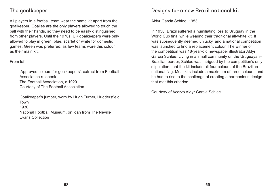#### The goalkeeper

All players in a football team wear the same kit apart from the goalkeeper. Goalies are the only players allowed to touch the ball with their hands, so they need to be easily distinguished from other players. Until the 1970s, UK goalkeepers were only allowed to play in green, blue, scarlet or white for domestic games. Green was preferred, as few teams wore this colour as their main kit.

#### From left

'Approved colours for goalkeepers', extract from Football Association rulebook The Football Association, c.1920 Courtesy of The Football Association

Goalkeeper's jumper, worn by Hugh Turner, Huddersfield Town 1930 National Football Museum, on loan from The Neville Evans Collection

#### Designs for a new Brazil national kit

Aldyr Garcia Schlee, 1953

In 1950, Brazil suffered a humiliating loss to Uruguay in the World Cup final while wearing their traditional all-white kit. It was subsequently deemed unlucky, and a national competition was launched to find a replacement colour. The winner of the competition was 18-year-old newspaper illustrator Aldyr Garcia Schlee. Living in a small community on the Uruguayan– Brazilian border, Schlee was intrigued by the competition's only stipulation: that the kit include all four colours of the Brazilian national flag. Most kits include a maximum of three colours, and he had to rise to the challenge of creating a harmonious design that met this criterion.

Courtesy of Acervo Aldyr Garcia Schlee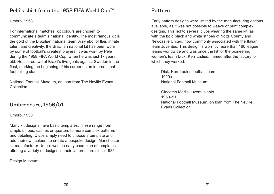#### Pelé's shirt from the 1958 FIFA World Cup™

Umbro, 1958

For international matches, kit colours are chosen to communicate a team's national identity. The most famous kit is the gold of the Brazilian national team. A symbol of flair, innate talent and creativity, the Brazilian national kit has been worn by some of football's greatest players. It was worn by Pelé during the 1958 FIFA World Cup, when he was just 17 years old. He scored two of Brazil's five goals against Sweden in the final, marking the beginning of his career as an international footballing star.

National Football Museum, on loan from The Neville Evans Collection

#### Umbrochure, 1950/51

Umbro, 1950

Many kit designs have basic templates. These range from simple stripes, sashes or quarters to more complex patterns and detailing. Clubs simply need to choose a template and add their own colours to create a bespoke design. Manchester kit manufacturer Umbro was an early champion of templates, offering a variety of designs in their Umbrochure since 1935.

Design Museum

#### Pattern

Early pattern designs were limited by the manufacturing options available, as it was not possible to weave or print complex designs. This led to several clubs wearing the same kit, as with the bold black and white stripes of Notts County and Newcastle United, now commonly associated with the Italian team Juventus. This design is worn by more than 160 league teams worldwide and was once the kit for the pioneering women's team Dick, Kerr Ladies, named after the factory for which they worked.

Dick, Kerr Ladies football team 1920s National Football Museum

Giacomo Mari's Juventus shirt 1950–51 National Football Museum, on loan from The Neville Evans Collection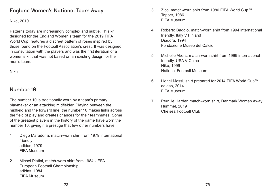#### England Women's National Team Away

#### Nike, 2019

Patterns today are increasingly complex and subtle. This kit, designed for the England Women's team for the 2019 FIFA World Cup, features a discreet pattern of roses inspired by those found on the Football Association's crest. It was designed in consultation with the players and was the first iteration of a women's kit that was not based on an existing design for the men's team.

Nike

#### Number 10

The number 10 is traditionally worn by a team's primary playmaker or an attacking midfielder. Playing between the midfield and the forward line, the number 10 makes links across the field of play and creates chances for their teammates. Some of the greatest players in the history of the game have worn the number 10, giving it a prestige that few other numbers have.

- 1 Diego Maradona, match-worn shirt from 1979 international friendly adidas, 1979 FIFA Museum
- 2 Michel Platini, match-worn shirt from 1984 UEFA European Football Championship adidas, 1984 FIFA Museum
- 3 Zico, match-worn shirt from 1986 FIFA World Cup™ Topper, 1986 FIFA Museum
- 4 Roberto Baggio, match-worn shirt from 1994 international friendly, Italy V Finland Diadora, 1994 Fondazione Museo del Calcio
- 5 Michelle Akers, match-worn shirt from 1999 international friendly, USA V China Nike, 1999 National Football Museum
- 6 Lionel Messi, shirt prepared for 2014 FIFA World Cup™ adidas, 2014 FIFA Museum
- Hummel, 2019 Chelsea Football Club

7 Pernille Harder, match-worn shirt, Denmark Women Away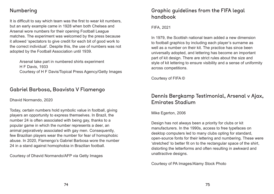#### Numbering

It is difficult to say which team was the first to wear kit numbers, but an early example came in 1928 when both Chelsea and Arsenal wore numbers for their opening Football League matches. The experiment was welcomed by the press because it allowed 'spectators to give credit for each bit of good work to the correct individual'. Despite this, the use of numbers was not adopted by the Football Association until 1939.

Arsenal take part in numbered shirts experiment H F Davis, 1933 Courtesy of H F Davis/Topical Press Agency/Getty Images

#### Gabriel Barbosa, Boavista V Flamengo

Dhavid Normando, 2020

Today, certain numbers hold symbolic value in football, giving players an opportunity to express themselves. In Brazil, the number 24 is often associated with being gay, thanks to a popular game in which the number represents a deer, an animal pejoratively associated with gay men. Consequently, few Brazilian players wear the number for fear of homophobic abuse. In 2020, Flamengo's Gabriel Barbosa wore the number 24 in a stand against homophobia in Brazilian football.

Courtesy of Dhavid Normando/AFP via Getty Images

#### Graphic guidelines from the FIFA legal handbook

FIFA, 2021

In 1979, the Scottish national team added a new dimension to football graphics by including each player's surname as well as a number on their kit. The practice has since been universally adopted, and lettering has become an important part of kit design. There are strict rules about the size and style of kit lettering to ensure visibility and a sense of uniformity across competitions.

Courtesy of FIFA ©

#### Dennis Bergkamp Testimonial, Arsenal v Ajax, Emirates Stadium

Mike Egerton, 2006

Design has not always been a priority for clubs or kit manufacturers. In the 1990s, access to free typefaces on desktop computers led to many clubs opting for standard, open-source fonts for their lettering and numbering. These were 'stretched' to better fit on to the rectangular space of the shirt, distorting the letterforms and often resulting in awkward and unattractive designs.

Courtesy of PA Images/Alamy Stock Photo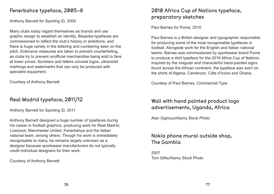#### Fenerbahce typeface, 2005–6

Anthony Barnett for Sporting iD, 2005

Many clubs today regard themselves as brands and use graphic design to establish an identity. Bespoke typefaces are commissioned to reflect the club's history or ambitions, and there is huge variety in the lettering and numbering seen on the pitch. Extensive measures are taken to prevent counterfeiting, as clubs try to prevent unofficial merchandise being sold to fans at lower prices. Numbers and letters conceal logos, ultraviolet markings and watermarks that can only be produced with specialist equipment.

Courtesy of Anthony Barnett

#### Real Madrid typeface, 2011/12

Anthony Barnett for Sporting iD, 2011

Anthony Barnett designed a huge number of typefaces during his career in football graphics, producing work for Real Madrid, Liverpool, Manchester United, Fenerbahçe and the Italian national team, among others. Though his work is immediately recognisable to many, he remains largely unknown as a designer because sportswear manufacturers do not typically credit individual designers for their work.

#### Courtesy of Anthony Barnett

# 2010 Africa Cup of Nations typeface, preparatory sketches

Paul Barnes for Puma, 2010

Paul Barnes is a British designer and typographer responsible for producing some of the most recognisable typefaces in football. Alongside work for the English and Italian national teams, Barnes was commissioned by sportswear brand Puma to produce a shirt typeface for the 2010 Africa Cup of Nations. Inspired by the irregular and characterful hand-painted signs found across the African continent, the typeface was worn on the shirts of Algeria, Cameroon, Côte d'Ivoire and Ghana.

Courtesy of Paul Barnes, Commercial Type

## Wall with hand painted product logo advertisements, Uganda, Africa

Alan Gignoux/Alamy Stock Photo

#### Nokia phone mural outside shop, The Gambia

2007 Tom Gilks/Alamy Stock Photo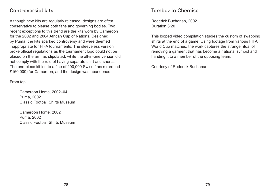#### Controversial kits

Although new kits are regularly released, designs are often conservative to please both fans and governing bodies. Two recent exceptions to this trend are the kits worn by Cameroon for the 2002 and 2004 African Cup of Nations. Designed by Puma, the kits sparked controversy and were deemed inappropriate for FIFA tournaments. The sleeveless version broke official regulations as the tournament logo could not be placed on the arm as stipulated, while the all-in-one version did not comply with the rule of having separate shirt and shorts. The one-piece kit led to a fine of 200,000 Swiss francs (around £160,000) for Cameroon, and the design was abandoned.

From top

Cameroon Home, 2002–04 Puma, 2002 Classic Football Shirts Museum

Cameroon Home, 2002 Puma, 2002 Classic Football Shirts Museum

#### Tombez la Chemise

Roderick Buchanan, 2002 Duration 3:20

This looped video compilation studies the custom of swapping shirts at the end of a game. Using footage from various FIFA World Cup matches, the work captures the strange ritual of removing a garment that has become a national symbol and handing it to a member of the opposing team.

Courtesy of Roderick Buchanan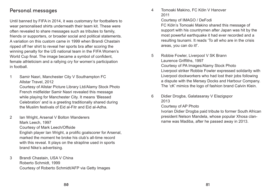#### Personal messages

Until banned by FIFA in 2014, it was customary for footballers to wear personalised shirts underneath their team kit. These were often revealed to share messages such as tributes to family, friends or supporters, or broader social and political statements. A variation on this custom came in 1999 when Brandi Chastain ripped off her shirt to reveal her sports bra after scoring the winning penalty for the US national team in the FIFA Women's World Cup final. The image became a symbol of confident, female athleticism and a rallying cry for women's participation in football.

1 Samir Nasri, Manchester City V Southampton FC Allstar Travel, 2012 Courtesy of Allstar Picture Library Ltd/Alamy Stock Photo French midfielder Samir Nasri revealed this message while playing for Manchester City. It means 'Blessed Celebration' and is a greeting traditionally shared during the Muslim festivals of Eid al-Fitr and Eid al-Adha.

- 2 Ian Wright, Arsenal V Bolton Wanderers Mark Leech, 1997 Courtesy of Mark Leech/Offside English player Ian Wright, a prolific goalscorer for Arsenal, marked the moment he broke his club's all-time record with this reveal. It plays on the strapline used in sports brand Nike's advertising.
- 3 Brandi Chastain, USA V China Roberto Schmidt, 1999 Courtesy of Roberto Schmidt/AFP via Getty Images

4 Tomoaki Makino, FC Köln V Hanover 2011

> Courtesy of IMAGO / DeFodi FC Köln's Tomoaki Makino shared this message of support with his countrymen after Japan was hit by the most powerful earthquake it had ever recorded and a resulting tsunami. It reads 'To all who are in the crisis areas, you can do it!'.

Liverpool striker Robbie Fowler expressed solidarity with Liverpool dockworkers who had lost their jobs following a dispute with the Mersey Docks and Harbour Company. The 'cK' mimics the logo of fashion brand Calvin Klein.

- 5 Robbie Fowler, Liverpool V SK Brann Laurence Griffiths, 1997 Courtesy of PA Images/Alamy Stock Photo
- 6 Didier Drogba, Galatasaray V Elazigspor 2013 Courtesy of AP Photo name was Madiba, after he passed away in 2013.

Ivorian Didier Drogba paid tribute to former South African president Nelson Mandela, whose popular Xhosa clan-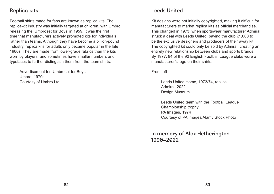#### Replica kits

Football shirts made for fans are known as replica kits. The replica-kit industry was initially targeted at children, with Umbro releasing the 'Umbroset for Boys' in 1959. It was the first time that manufacturers actively promoted kits for individuals rather than teams. Although they have become a billion-pound industry, replica kits for adults only became popular in the late 1980s. They are made from lower-grade fabrics than the kits worn by players, and sometimes have smaller numbers and typefaces to further distinguish them from the team shirts.

Advertisement for 'Umbroset for Boys' Umbro, 1970s Courtesy of Umbro Ltd

#### Leeds United

Kit designs were not initially copyrighted, making it difficult for manufacturers to market replica kits as official merchandise. This changed in 1973, when sportswear manufacturer Admiral struck a deal with Leeds United, paying the club £1,000 to be the exclusive designers and producers of their away kit. The copyrighted kit could only be sold by Admiral, creating an entirely new relationship between clubs and sports brands. By 1977, 84 of the 92 English Football League clubs wore a manufacturer's logo on their shirts.

From left

Leeds United Home, 1973/74, replica Admiral, 2022 Design Museum

Leeds United team with the Football League Championship trophy PA Images, 1974 Courtesy of PA Images/Alamy Stock Photo

In memory of Alex Hetherington 1990–2022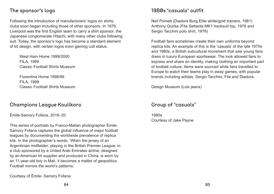#### The sponsor's logo

Following the introduction of manufacturers' logos on shirts, clubs soon began including those of other sponsors. In 1979, Liverpool was the first English team to carry a shirt sponsor, the Japanese conglomerate Hitachi, with many other clubs following suit. Today, the sponsor's logo has become a standard element of kit design, with certain logos even gaining cult status.

West Ham Home 1999/2000 FILA, 1999 Classic Football Shirts Museum

Fiorentina Home 1998/99 FILA, 1998 Classic Football Shirts Museum

#### Champions League Koulikoro

Émile-Samory Fofana, 2018–20

This series of portraits by Franco-Malian photographer Émile-Samory Fofana captures the global influence of major football leagues by documenting the worldwide prevalence of replica kits. In the photographer's words, 'When the jersey of an Argentinian midfielder, playing in the British Premier League, in a club sponsored by a United Arab Emirates airline, designed by an American kit supplier and produced in China, is worn by an 11-year-old boy in Mali, it becomes a matter of geopolitics. Football mirrors the world's patterns.'

Courtesy of Émile- Samory Fofana

#### 1980s 'casuals' outfit

Neil Primett (Diadora Borg Elite white/gold trainers, 1981) Anthony Quirke (Fila Settanta MK1 tracksuit top, 1976 and Sergio Tacchini polo shirt, 1976)

Football fans sometimes create their own uniforms beyond replica kits. An example of this is the 'casuals' of the late 1970s and 1980s, a British subcultural movement that saw young fans dress in luxury European sportswear. The look allowed fans to express and share an identity, making clothing an important part of football culture. Items were sourced while fans travelled to Europe to watch their teams play in away games, with popular brands including adidas, Sergio Tacchini, Fila and Diadora.

Design Museum (Lois jeans)

#### Group of 'casuals'

1980s Courtesy of Jake Payne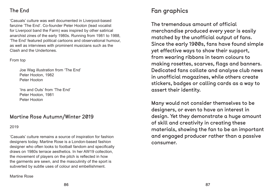#### The End

'Casuals' culture was well documented in Liverpool-based fanzine 'The End'. Co-founder Peter Hooton (lead vocalist for Liverpool band the Farm) was inspired by other satirical anarchist zines of the early 1980s. Running from 1981 to 1988, 'The End' featured political cartoons and observational humour, as well as interviews with prominent musicians such as the Clash and the Undertones.

#### From top

Joe Wag illustration from 'The End' Peter Hooton, 1982 Peter Hooton

'Ins and Outs' from 'The End' Peter Hooton, 1981 Peter Hooton

#### Martine Rose Autumn/Winter 2019

2019

'Casuals' culture remains a source of inspiration for fashion designers today. Martine Rose is a London-based fashion designer who often looks to football fandom and specifically draws on 1980s terrace aesthetics. In her AW19 collection, the movement of players on the pitch is reflected in how the garments are sewn, and the masculinity of the sport is subverted by subtle uses of colour and embellishment.

Martine Rose

# Fan graphics

The tremendous amount of official merchandise produced every year is easily matched by the unofficial output of fans. Since the early 1900s, fans have found simple yet effective ways to show their support, from wearing ribbons in team colours to making rosettes, scarves, flags and banners. Dedicated fans collate and analyse club news in unofficial magazines, while others create stickers, badges or calling cards as a way to assert their identity.

Many would not consider themselves to be designers, or even to have an interest in design. Yet they demonstrate a huge amount of skill and creativity in creating these materials, showing the fan to be an important and engaged producer rather than a passive consumer.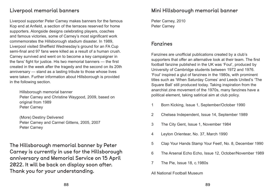#### Liverpool memorial banners

Liverpool supporter Peter Carney makes banners for the famous Kop end at Anfield, a section of the terraces reserved for home supporters. Alongside designs celebrating players, coaches and famous victories, some of Carney's most significant work commemorates the Hillsborough stadium disaster. In 1989, Liverpool visited Sheffield Wednesday's ground for an FA Cup semi-final and 97 fans were killed as a result of a human crush. Carney survived and went on to become a key campaigner in the fans' fight for justice. His two memorial banners — the first created in the week after the tragedy and the second on its 20th anniversary — stand as a lasting tribute to those whose lives were taken. Further information about Hillsborough is provided in the following section.

Hillsborough memorial banner Peter Carney and Christine Waygood, 2009, based on original from 1989 Peter Carney

(More) Destiny Delivered Peter Carney and Carmel Gittens, 2005, 2007 Peter Carney

The Hillsborough memorial banner by Peter Carney is currently in use for the Hillsborough anniversary and Memorial Service on 15 April 2022. It will be back on display soon after. Thank you for your understanding.

#### Mini Hillsborough memorial banner

Peter Carney, 2010 Peter Carney

#### Fanzines

Fanzines are unofficial publications created by a club's supporters that offer an alternative look at their team. The first football fanzine published in the UK was 'Foul', produced by University of Cambridge students between 1972 and 1976. 'Foul' inspired a glut of fanzines in the 1980s, with prominent titles such as 'When Saturday Comes' and Leeds United's 'The Square Ball' still produced today. Taking inspiration from the anarchist zine movement of the 1970s, many fanzines have a political element, taking satirical aim at club policy.

- 1 Born Kicking, Issue 1, September/October 1990
- 2 Chelsea Independent, Issue 14, September 1989
- 3 The City Gent, Issue 1, November 1984
- 4 Leyton Orientear, No. 37, March 1990
- 
- 
- 7 The Pie, Issue 18, c.1980s

5 Clap Your Hands Stamp Your Feet!, No. 8, December 1990

6 The Arsenal Echo Echo, Issue 12, October/November 1989

All National Football Museum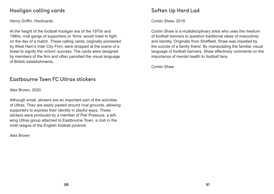#### Hooligan calling cards

Henry Griffin, Hoolicards

At the height of the football hooligan era of the 1970s and 1980s, rival gangs of supporters or 'firms' would meet to fight on the day of a match. These calling cards, originally pioneered by West Ham's Inter City Firm, were dropped at the scene of a brawl to signify the victors' success. The cards were designed by members of the firm and often parodied the visual language of British establishments.

#### Eastbourne Town FC Ultras stickers

Alex Brown, 2020

Although small, stickers are an important part of the activities of Ultras. They are easily pasted around rival grounds, allowing supporters to express their identity in playful ways. These stickers were produced by a member of Pier Pressure, a leftwing Ultras group attached to Eastbourne Town, a club in the ninth league of the English football pyramid.

Alex Brown

## Soften Up Hard Lad

Corbin Shaw, 2019

Corbin Shaw is a multidisciplinary artist who uses the medium of football banners to question traditional ideas of masculinity and identity. Originally from Sheffield, Shaw was impelled by the suicide of a family friend. By manipulating the familiar visual language of football banners, Shaw effectively comments on the importance of mental health to football fans.

Corbin Shaw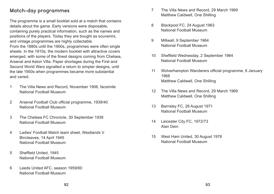#### Match-day programmes

The programme is a small booklet sold at a match that contains details about the game. Early versions were disposable, containing purely practical information, such as the names and positions of the players. Today they are bought as souvenirs, and vintage programmes are highly collectable. From the 1880s until the 1900s, programmes were often single sheets. In the 1910s, the modern booklet with attractive covers emerged, with some of the finest designs coming from Chelsea, Arsenal and Aston Villa. Paper shortages during the First and Second World Wars signalled a return to simpler designs, until the late 1950s when programmes became more substantial and varied.

- 1 The Villa News and Record, November 1906, facsimile National Football Museum
- 2 Arsenal Football Club official programme, 1939/40 National Football Museum
- 3 The Chelsea FC Chronicle, 30 September 1939 National Football Museum
- 4 Ladies' Football Match team sheet, Westlands V Bincleaves, 14 April 1945 National Football Museum
- 5 Sheffield United, 1945 National Football Museum
- 6 Leeds United AFC, season 1959/60 National Football Museum
- 7 The Villa News and Record, 29 March 1969 Matthew Caldwell, One Shilling
- 8 Blackpool FC, 24 August 1963 National Football Museum
- 9 Millwall, 9 September 1964 National Football Museum
- 10 Sheffield Wednesday, 2 September 1964 National Football Museum
- 11 Wolverhampton Wanderers official programme, 6 January 1968 Matthew Caldwell, One Shilling
- 12 The Villa News and Record, 29 March 1969 Matthew Caldwell, One Shilling
- 13 Barnsley FC, 28 August 1971 National Football Museum
- 14 Leicester City FC, 1972/73 Alan Dein
- 15 West Ham United, 30 August 1978 National Football Museum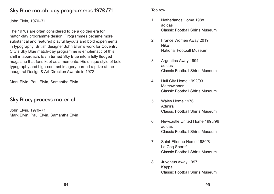#### Sky Blue match-day programmes 1970/71

John Elvin, 1970–71

The 1970s are often considered to be a golden era for match-day programme design. Programmes became more substantial and featured playful layouts and bold experiments in typography. British designer John Elvin's work for Coventry City's Sky Blue match-day programme is emblematic of this shift in approach. Elvin turned Sky Blue into a fully fledged magazine that fans kept as a memento. His unique style of bold typography and high-contrast imagery earned a prize at the inaugural Design & Art Direction Awards in 1972.

Mark Elvin, Paul Elvin, Samantha Elvin

#### Sky Blue, process material

John Elvin, 1970–71 Mark Elvin, Paul Elvin, Samantha Elvin Top row

- 1 Netherlands Home 1988 adidas Classic Football Shirts Museum
- 2 France Women Away 2019 Nike National Football Museum
- 3 Argentina Away 1994 adidas Classic Football Shirts Museum
- 4 Hull City Home 1992/93 Matchwinner Classic Football Shirts Museum
- 5 Wales Home 1976 Admiral Classic Football Shirts Museum
- 6 Newcastle United Home 1995/96 adidas Classic Football Shirts Museum
- 7 Saint-Etienne Home 1980/81 Le Coq Sportif Classic Football Shirts Museum
- 8 Juventus Away 1997 Kappa Classic Football Shirts Museum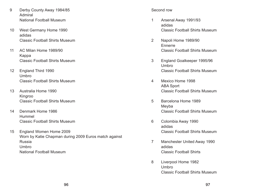- 9 Derby County Away 1984/85 Admiral National Football Museum
- 10 West Germany Home 1990 adidas Classic Football Shirts Museum
- 11 AC Milan Home 1989/90 Kappa Classic Football Shirts Museum
- 12 England Third 1990 Umbro Classic Football Shirts Museum
- 13 Australia Home 1990 Kingroo Classic Football Shirts Museum
- 14 Denmark Home 1986 Hummel Classic Football Shirts Museum
- 15 England Women Home 2009 Worn by Katie Chapman during 2009 Euros match against Russia Umbro National Football Museum

#### Second row

- 1 Arsenal Away 1991/93 adidas Classic Football Shirts Museum
- 2 Napoli Home 1989/90 Ennerre Classic Football Shirts Museum
- 3 England Goalkeeper 1995/96 Umbro Classic Football Shirts Museum
- 4 Mexico Home 1998 ABA Sport Classic Football Shirts Museum
- 5 Barcelona Home 1989 Meyba Classic Football Shirts Museum
- 6 Colombia Away 1990 adidas Classic Football Shirts Museum
- 7 Manchester United Away 1990 adidas Classic Football Shirts
- 8 Liverpool Home 1982 Umbro Classic Football Shirts Museum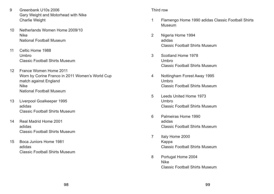- 9 Greenbank U10s 2006 Gary Weight and Motorhead with Nike Charlie Weight
- 10 Netherlands Women Home 2009/10 Nike National Football Museum
- 11 Celtic Home 1988 Umbro Classic Football Shirts Museum
- 12 France Women Home 2011 Worn by Corine Franco in 2011 Women's World Cup match against England Nike National Football Museum
- 13 Liverpool Goalkeeper 1995 adidas Classic Football Shirts Museum
- 14 Real Madrid Home 2001 adidas Classic Football Shirts Museum
- 15 Boca Juniors Home 1981 adidas Classic Football Shirts Museum

#### Third row

- 1 Flamengo Home 1990 adidas Classic Football Shirts Museum
- 2 Nigeria Home 1994 adidas Classic Football Shirts Museum
- 3 Scotland Home 1978 Umbro Classic Football Shirts Museum
- 4 Nottingham Forest Away 1995 Umbro Classic Football Shirts Museum
- 5 Leeds United Home 1973 Umbro Classic Football Shirts Museum
- 6 Palmeiras Home 1990 adidas Classic Football Shirts Museum
- 7 Italy Home 2000 Kappa Classic Football Shirts Museum
- 8 Portugal Home 2004 Nike Classic Football Shirts Museum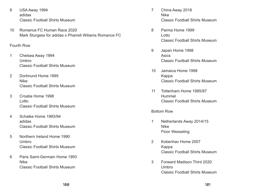- 9 USA Away 1994 adidas Classic Football Shirts Museum
- 10 Romance FC Human Race 2020 Mark Sturgess for adidas x Pharrell Wiliams Romance FC

#### Fourth Row

- 1 Chelsea Away 1994 Umbro Classic Football Shirts Museum
- 2 Dortmund Home 1995 Nike Classic Football Shirts Museum
- 3 Croatia Home 1998 Lotto Classic Football Shirts Museum
- 4 Schalke Home 1993/94 adidas Classic Football Shirts Museum
- 5 Northern Ireland Home 1990 Umbro Classic Football Shirts Museum
- 6 Paris Saint-Germain Home 1993 Nike Classic Football Shirts Museum
- 7 China Away 2018 Nike Classic Football Shirts Museum
- 8 Parma Home 1999 Lotto Classic Football Shirts Museum
- 9 Japan Home 1998 Asics Classic Football Shirts Museum
- 10 Jamaica Home 1998 Kappa Classic Football Shirts Museum
- 11 Tottenham Home 1985/87 Hummel Classic Football Shirts Museum

#### Bottom Row

- 1 Netherlands Away 2014/15 Nike Floor Wesseling
- 2 Kobenhav Home 2007 Kappa Classic Football Shirts Museum
- 3 Forward Madison Third 2020 Umbro Classic Football Shirts Museum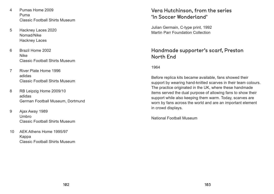- 4 Pumas Home 2009 Puma Classic Football Shirts Museum
- 5 Hackney Laces 2020 Nomad/Nike Hackney Laces
- 6 Brazil Home 2002 Nike Classic Football Shirts Museum
- 7 River Plate Home 1996 adidas Classic Football Shirts Museum
- 8 RB Leipzig Home 2009/10 adidas German Football Museum, Dortmund
- 9 Ajax Away 1989 Umbro Classic Football Shirts Museum
- 10 AEK Athens Home 1995/97 Kappa Classic Football Shirts Museum

## Vera Hutchinson, from the series 'In Soccer Wonderland'

Julian Germain, C-type print, 1992 Martin Parr Foundation Collection

#### Handmade supporter's scarf, Preston North End

1964

Before replica kits became available, fans showed their support by wearing hand-knitted scarves in their team colours. The practice originated in the UK, where these handmade items served the dual purpose of allowing fans to show their support while also keeping them warm. Today, scarves are worn by fans across the world and are an important element in crowd displays.

National Football Museum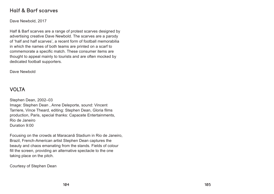#### Half & Barf scarves

Dave Newbold, 2017

Half & Barf scarves are a range of protest scarves designed by advertising creative Dave Newbold. The scarves are a parody of 'half and half scarves', a recent form of football memorabilia in which the names of both teams are printed on a scarf to commemorate a specific match. These consumer items are thought to appeal mainly to tourists and are often mocked by dedicated football supporters.

Dave Newbold

#### VOLTA

Stephen Dean, 2002–03 Image: Stephen Dean , Anne Deleporte, sound: Vincent Tarriere, Vince Theard, editing: Stephen Dean, Gloria films production, Paris, special thanks: Capacete Entertainments, Rio de Janeiro Duration 9:00

Focusing on the crowds at Maracanã Stadium in Rio de Janeiro, Brazil, French-American artist Stephen Dean captures the beauty and chaos emanating from the stands. Fields of colour fill the screen, providing an alternative spectacle to the one taking place on the pitch.

Courtesy of Stephen Dean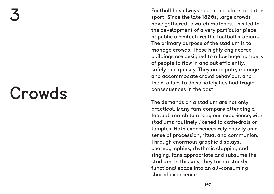# Crowds

Football has always been a popular spectator sport. Since the late 1800s, large crowds have gathered to watch matches. This led to the development of a very particular piece of public architecture: the football stadium. The primary purpose of the stadium is to manage crowds. These highly engineered buildings are designed to allow huge numbers of people to flow in and out efficiently, safely and quickly. They anticipate, manage and accommodate crowd behaviour, and their failure to do so safely has had tragic consequences in the past.

The demands on a stadium are not only practical. Many fans compare attending a football match to a religious experience, with stadiums routinely likened to cathedrals or temples. Both experiences rely heavily on a sense of procession, ritual and communion. Through enormous graphic displays, choreographies, rhythmic clapping and singing, fans appropriate and subsume the stadium. In this way, they turn a starkly functional space into an all-consuming shared experience.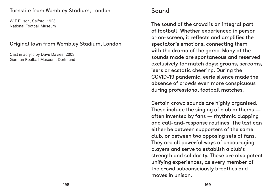#### Turnstile from Wembley Stadium, London

W T Ellison, Salford, 1923 National Football Museum

#### Original lawn from Wembley Stadium, London

Cast in acrylic by Dave Davies, 2003 German Football Museum, Dortmund

# Sound

The sound of the crowd is an integral part of football. Whether experienced in person or on-screen, it reflects and amplifies the spectator's emotions, connecting them with the drama of the game. Many of the sounds made are spontaneous and reserved exclusively for match days: groans, screams, jeers or ecstatic cheering. During the COVID-19 pandemic, eerie silence made the absence of crowds even more conspicuous during professional football matches.

Certain crowd sounds are highly organised. These include the singing of club anthems often invented by fans — rhythmic clapping and call-and-response routines. The last can either be between supporters of the same club, or between two opposing sets of fans. They are all powerful ways of encouraging players and serve to establish a club's strength and solidarity. These are also potent unifying experiences, as every member of the crowd subconsciously breathes and moves in unison.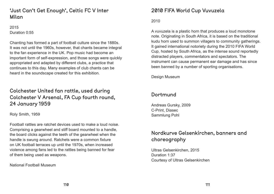#### 'Just Can't Get Enough', Celtic FC V Inter Milan

2015 Duration 0:55

Chanting has formed a part of football culture since the 1880s. It was not until the 1960s, however, that chants became integral to the fan experience in the UK. Pop music had become an important form of self-expression, and those songs were quickly appropriated and adapted by different clubs, a practice that continues to this day. Many examples of club chants can be heard in the soundscape created for this exhibition.

#### Colchester United fan rattle, used during Colchester V Arsenal, FA Cup fourth round, 24 January 1959

Roly Smith, 1959

Football rattles are ratchet devices used to make a loud noise. Comprising a gearwheel and stiff board mounted to a handle, the board clicks against the teeth of the gearwheel when the handle is swung around. Ratchets were a common fixture on UK football terraces up until the 1970s, when increased violence among fans led to the rattles being banned for fear of them being used as weapons.

National Football Museum

#### 2010 FIFA World Cup Vuvuzela

#### 2010

A vuvuzela is a plastic horn that produces a loud monotone note. Originating in South Africa, it is based on the traditional kudu horn used to summon villagers to community gatherings. It gained international notoriety during the 2010 FIFA World Cup, hosted by South Africa, as the intense sound reportedly distracted players, commentators and spectators. The instrument can cause permanent ear damage and has since been banned by a number of sporting organisations.

Design Museum

#### Dortmund

Andreas Gursky, 2009 C-Print, Diasec Sammlung Pohl

# Nordkurve Gelsenkirchen, banners and choreography

Ultras Gelsenkirchen, 2015 Duration 1:37 Courtesy of Ultras Gelsenkirchen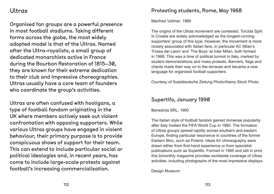# Ultras

Organised fan groups are a powerful presence in most football stadiums. Taking different forms across the globe, the most widely adopted model is that of the Ultras. Named after the Ultra-royalists, a small group of dedicated monarchists active in France during the Bourbon Restoration of 1815–30, they are known for their extreme dedication to their club and impressive choreographies. Ultras usually have a core team of founders who coordinate the group's activities.

Ultras are often confused with hooligans, a type of football fandom originating in the UK where members actively seek out violent confrontation with opposing supporters. While various Ultras groups have engaged in violent behaviour, their primary purpose is to provide conspicuous shows of support for their team. This can extend to include particular social or political ideologies and, in recent years, has come to include large-scale protests against football's increasing commercialisation.

Manfred Vollmer, 1968

The origins of the Ultras movement are contested. Torcida Split in Croatia are widely acknowledged as the longest-running supporters' group of this type. However, the movement is more closely associated with Italian fans, in particular AC Milan's 'Fossa dei Leoni' and 'The Boys' at Inter Milan, both formed in 1968. This was a time of political turmoil in Italy, marked by student demonstrations and mass protests. Banners, flags and chants made their way on to the terraces and became a new language for organised football supporters.

Courtesy of Sueddeutsche Zeitung Photo/Alamy Stock Photo

#### Supertifo, January 1990

Benedicta SRL, 1990

The Italian style of football fandom gained immense popularity after Italy hosted the FIFA World Cup in 1990. The formation of Ultras groups spread rapidly across southern and eastern Europe, finding particular resonance in countries of the former Eastern Bloc, such as Poland. Ideas for choreography were drawn either from first-hand experience or from specialist publications such as Supertifo. Formed in 1985 and still in print, this bimonthly magazine provides worldwide coverage of Ultras activities, including photographs of the most impressive displays.

Design Museum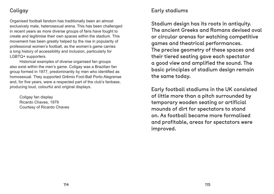## **Coligay**

Organised football fandom has traditionally been an almost exclusively male, heterosexual arena. This has been challenged in recent years as more diverse groups of fans have fought to create and legitimise their own spaces within the stadium. This movement has been greatly helped by the rise in popularity of professional women's football, as the women's game carries a long history of accessibility and inclusion, particularly for LGBTQ+ supporters.

Historical examples of diverse organised fan groups also exist within the men's game. Coligay was a Brazilian fan group formed in 1977, predominantly by men who identified as homosexual. They supported Grêmio Foot-Ball Porto Alegrense and, for five years, were a respected part of the club's fanbase, producing loud, colourful and original displays.

Coligay fan display Ricardo Chaves, 1979 Courtesy of Ricardo Chaves

#### Early stadiums

Stadium design has its roots in antiquity. The ancient Greeks and Romans devised oval or circular arenas for watching competitive games and theatrical performances. The precise geometry of these spaces and their tiered seating gave each spectator a good view and amplified the sound. The basic principles of stadium design remain the same today.

Early football stadiums in the UK consisted of little more than a pitch surrounded by temporary wooden seating or artificial mounds of dirt for spectators to stand on. As football became more formalised and profitable, areas for spectators were improved.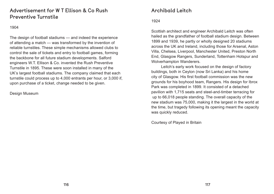#### Advertisement for W T Ellison & Co Rush Preventive Turnstile

1904

The design of football stadiums — and indeed the experience of attending a match — was transformed by the invention of reliable turnstiles. These simple mechanisms allowed clubs to control the sale of tickets and entry to football games, forming the backbone for all future stadium developments. Salford engineers W.T. Ellison & Co. invented the Rush Preventive Turnstile in 1895. These were soon installed in many of the UK's largest football stadiums. The company claimed that each turnstile could process up to 4,000 entrants per hour, or 3,000 if, upon purchase of a ticket, change needed to be given.

Design Museum

## Archibald Leitch

#### 1924

Scottish architect and engineer Archibald Leitch was often hailed as the grandfather of football stadium design. Between 1899 and 1939, he partly or wholly designed 20 stadiums across the UK and Ireland, including those for Arsenal, Aston Villa, Chelsea, Liverpool, Manchester United, Preston North End, Glasgow Rangers, Sunderland, Tottenham Hotspur and Wolverhampton Wanderers.

Leitch's early work focused on the design of factory buildings, both in Ceylon (now Sri Lanka) and his home city of Glasgow. His first football commission was the new grounds for his boyhood team, Rangers. His design for Ibrox Park was completed in 1899. It consisted of a detached pavilion with 1,715 seats and steel-and-timber terracing for up to 66,018 people standing. The overall capacity of the new stadium was 75,000, making it the largest in the world at the time, but tragedy following its opening meant the capacity was quickly reduced.

Courtesy of Played in Britain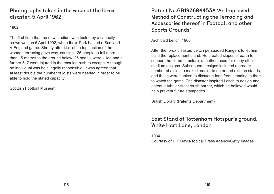#### Photographs taken in the wake of the Ibrox disaster, 5 April 1902

1902

The first time that the new stadium was tested by a capacity crowd was on 5 April 1902, when Ibrox Park hosted a Scotland V England game. Shortly after kick-off, a top section of the wooden terracing gave way, causing 125 people to fall more than 15 metres to the ground below. 25 people were killed and a further 517 were injured in the ensuing rush to escape. Although no individual was held legally responsible, it was agreed that at least double the number of joists were needed in order to be able to hold the stated capacity.

Scottish Football Museum

#### Patent No.GB190604453A 'An Improved Method of Constructing the Terracing and Accessories thereof in Football and other Sports Grounds'

Archibald Leitch, 1906

After the Ibrox disaster, Leitch persuaded Rangers to let him build the replacement stand. He created slopes of earth to support the tiered structure, a method used for many other stadium designs. Subsequent designs included a greater number of aisles to make it easier to enter and exit the stands, and these were sunken to dissuade fans from standing in them to watch the game. The disaster inspired Leitch to design and patent a tubular-steel crush barrier, which he believed would help prevent future stampedes.

British Library (Patents Department)

## East Stand at Tottenham Hotspur's ground, White Hart Lane, London

1934 Courtesy of H F Davis/Topical Press Agency/Getty Images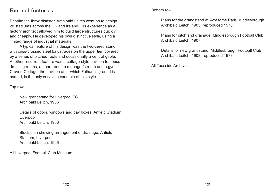#### Football factories

Despite the Ibrox disaster, Archibald Leitch went on to design 20 stadiums across the UK and Ireland. His experience as a factory architect allowed him to build large structures quickly and cheaply. He developed his own distinctive style, using a limited range of industrial materials.

A typical feature of his design was the two-tiered stand with criss-crossed steel balustrades on the upper tier, covered by a series of pitched roofs and occasionally a central gable. Another recurrent feature was a cottage-style pavilion to house dressing rooms, a boardroom, a manager's room and a gym. Craven Cottage, the pavilion after which Fulham's ground is named, is the only surviving example of this style.

Top row

New grandstand for Liverpool FC Archibald Leitch, 1906

Details of doors, windows and pay boxes, Anfield Stadium, Liverpool Archibald Leitch, 1906

Block plan showing arrangement of drainage, Anfield Stadium, Liverpool Archibald Leitch, 1906

All Liverpool Football Club Museum

#### Bottom row

Plans for the grandstand at Ayresome Park, Middlesbrough Archibald Leitch, 1903, reproduced 1978

Plans for pitch and drainage, Middlesbrough Football Club Archibald Leitch, 1907

Details for new grandstand, Middlesbrough Football Club Archibald Leitch, 1903, reproduced 1978

All Teesside Archives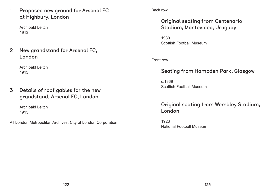1 Proposed new ground for Arsenal FC at Highbury, London

Archibald Leitch 1913

2 New grandstand for Arsenal FC, London

> Archibald Leitch 1913

3 Details of roof gables for the new grandstand, Arsenal FC, London

> Archibald Leitch 1913

All London Metropolitan Archives, City of London Corporation

Back row

# Original seating from Centenario Stadium, Montevideo, Uruguay

1930 Scottish Football Museum

Front row

# Seating from Hampden Park, Glasgow

c.1969 Scottish Football Museum

# Original seating from Wembley Stadium, London

1923 National Football Museum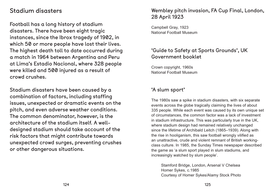# Stadium disasters

Football has a long history of stadium disasters. There have been eight tragic instances, since the Ibrox tragedy of 1902, in which 50 or more people have lost their lives. The highest death toll to date occurred during a match in 1964 between Argentina and Peru at Lima's Estadio Nacional, where 328 people were killed and 500 injured as a result of crowd crushes.

Stadium disasters have been caused by a combination of factors, including staffing issues, unexpected or dramatic events on the pitch, and even adverse weather conditions. The common denominator, however, is the architecture of the stadium itself. A welldesigned stadium should take account of the risk factors that might contribute towards unexpected crowd surges, preventing crushes or other dangerous situations.

# Wembley pitch invasion, FA Cup Final, London, 28 April 1923

Campbell Gray, 1923 National Football Museum

#### 'Guide to Safety at Sports Grounds', UK Government booklet

Crown copyright, 1960s National Football Museum

#### 'A slum sport'

The 1980s saw a spike in stadium disasters, with six separate events across the globe tragically claiming the lives of about 335 people. While each event was caused by its own unique set of circumstances, the common factor was a lack of investment in stadium infrastructure. This was particularly true in the UK, where stadium design had remained relatively unchanged since the lifetime of Archibald Leitch (1865–1939). Along with the rise in hooliganism, this saw football wrongly vilified as an unattractive, crude and violent remnant of British workingclass culture. In 1985, the Sunday Times newspaper described the game as 'a slum sport played in slum stadiums, and increasingly watched by slum people'.

Stamford Bridge, London, Arsenal V Chelsea Homer Sykes, c.1985 Courtesy of Homer Sykes/Alamy Stock Photo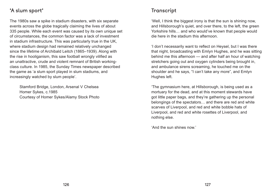#### 'A slum sport'

The 1980s saw a spike in stadium disasters, with six separate events across the globe tragically claiming the lives of about 335 people. While each event was caused by its own unique set of circumstances, the common factor was a lack of investment in stadium infrastructure. This was particularly true in the UK, where stadium design had remained relatively unchanged since the lifetime of Archibald Leitch (1865–1939). Along with the rise in hooliganism, this saw football wrongly vilified as an unattractive, crude and violent remnant of British workingclass culture. In 1985, the Sunday Times newspaper described the game as 'a slum sport played in slum stadiums, and increasingly watched by slum people'.

Stamford Bridge, London, Arsenal V Chelsea Homer Sykes, c.1985 Courtesy of Homer Sykes/Alamy Stock Photo

#### Transcript

'Well, I think the biggest irony is that the sun is shining now, and Hillsborough's quiet, and over there, to the left, the green Yorkshire hills… and who would've known that people would die here in the stadium this afternoon.

'I don't necessarily want to reflect on Heysel, but I was there that night, broadcasting with Emlyn Hughes, and he was sitting behind me this afternoon — and after half an hour of watching stretchers going out and oxygen cylinders being brought in, and ambulance sirens screaming, he touched me on the shoulder and he says, "I can't take any more", and Emlyn Hughes left.

'The gymnasium here, at Hillsborough, is being used as a mortuary for the dead, and at this moment stewards have got little paper bags, and they're gathering up the personal belongings of the spectators… and there are red and white scarves of Liverpool, and red and white bobble hats of Liverpool, and red and white rosettes of Liverpool, and nothing else.

'And the sun shines now.'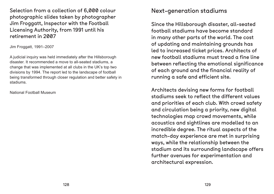Selection from a collection of 6,000 colour photographic slides taken by photographer Jim Froggatt, Inspector with the Football Licensing Authority, from 1991 until his retirement in 2007

Jim Froggatt, 1991–2007

A judicial inquiry was held immediately after the Hillsborough disaster. It recommended a move to all-seated stadiums, a change that was implemented at all clubs in the UK's top two divisions by 1994. The report led to the landscape of football being transformed through closer regulation and better safety in stadiums.

National Football Museum

# Next-generation stadiums

Since the Hillsborough disaster, all-seated football stadiums have become standard in many other parts of the world. The cost of updating and maintaining grounds has led to increased ticket prices. Architects of new football stadiums must tread a fine line between reflecting the emotional significance of each ground and the financial reality of running a safe and efficient site.

Architects devising new forms for football stadiums seek to reflect the different values and priorities of each club. With crowd safety and circulation being a priority, new digital technologies map crowd movements, while acoustics and sightlines are modelled to an incredible degree. The ritual aspects of the match-day experience are met in surprising ways, while the relationship between the stadium and its surrounding landscape offers further avenues for experimentation and architectural expression.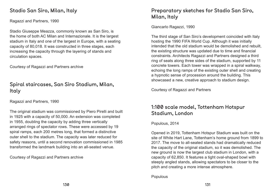#### Stadio San Siro, Milan, Italy

Ragazzi and Partners, 1990

Stadio Giuseppe Meazza, commonly known as San Siro, is the home of both AC Milan and Internazionale. It is the largest stadium in Italy and one of the largest in Europe, with a seating capacity of 80,018. It was constructed in three stages, each increasing the capacity through the layering of stands and circulation spaces.

Courtesy of Ragazzi and Partners archive

#### Spiral staircases, San Siro Stadium, Milan, Italy

Ragazzi and Partners, 1990

The original stadium was commissioned by Piero Pirelli and built in 1925 with a capacity of 50,000. An extension was completed in 1955, doubling the capacity by adding three vertically arranged rings of spectator rows. These were accessed by 19 spiral ramps, each 200 metres long, that formed a distinctive outer shell to the stadium. The capacity was later reduced for safety reasons, until a second renovation commissioned in 1985 transformed the landmark building into an all-seated venue.

Courtesy of Ragazzi and Partners archive

## Preparatory sketches for Stadio San Siro, Milan, Italy

Giancarlo Ragazzi, 1990

The third stage of San Siro's development coincided with Italy hosting the 1990 FIFA World Cup. Although it was initially intended that the old stadium would be demolished and rebuilt, the existing structure was updated due to time and financial constraints. Architects Ragazzi and Partners designed a third ring of seats along three sides of the stadium, supported by 11 concrete towers. Each tower was wrapped in a spiral walkway, echoing the long ramps of the existing outer shell and creating a hypnotic sense of procession around the building. This showcased a new, creative approach to stadium design.

Courtesy of Ragazzi and Partners

#### 1:100 scale model, Tottenham Hotspur Stadium, London

Populous, 2014

Opened in 2019, Tottenham Hotspur Stadium was built on the site of White Hart Lane, Tottenham's home ground from 1899 to 2017. The move to all-seated stands had dramatically reduced the capacity of the original stadium, so it was demolished. The new ground is now the largest club stadium in London, with a capacity of 62,850. It features a tight oval-shaped bowl with steeply angled stands, allowing spectators to be closer to the pitch and creating a more intense atmosphere.

Populous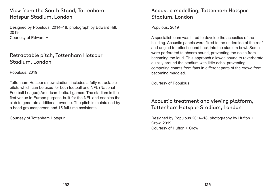## View from the South Stand, Tottenham Hotspur Stadium, London

Designed by Populous, 2014–18, photograph by Edward Hill, 2019 Courtesy of Edward Hill

#### Retractable pitch, Tottenham Hotspur Stadium, London

Populous, 2019

Tottenham Hotspur's new stadium includes a fully retractable pitch, which can be used for both football and NFL (National Football League) American football games. The stadium is the first venue in Europe purpose-built for the NFL and enables the club to generate additional revenue. The pitch is maintained by a head groundsperson and 15 full-time assistants.

Courtesy of Tottenham Hotspur

# Acoustic modelling, Tottenham Hotspur Stadium, London

Populous, 2019

A specialist team was hired to develop the acoustics of the building. Acoustic panels were fixed to the underside of the roof and angled to reflect sound back into the stadium bowl. Some were perforated to absorb sound, preventing the noise from becoming too loud. This approach allowed sound to reverberate quickly around the stadium with little echo, preventing competing chants from fans in different parts of the crowd from becoming muddled.

Courtesy of Populous

#### Acoustic treatment and viewing platform, Tottenham Hotspur Stadium, London

Designed by Populous 2014–18, photography by Hufton + Crow, 2019 Courtesy of Hufton + Crow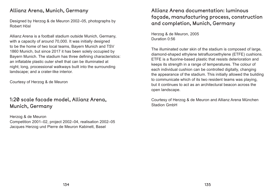#### Allianz Arena, Munich, Germany

Designed by Herzog & de Meuron 2002–05, photographs by Robert Hösl

Allianz Arena is a football stadium outside Munich, Germany, with a capacity of around 70,000. It was initially designed to be the home of two local teams, Bayern Munich and TSV 1860 Munich, but since 2017 it has been solely occupied by Bayern Munich. The stadium has three defining characteristics: an inflatable plastic outer shell that can be illuminated at night; long, processional walkways built into the surrounding landscape; and a crater-like interior.

Courtesy of Herzog & de Meuron

#### 1:20 scale facade model, Allianz Arena, Munich, Germany

Herzog & de Meuron Competition 2001–02, project 2002–04, realisation 2002–05 Jacques Herzog und Pierre de Meuron Kabinett, Basel

## Allianz Arena documentation: luminous façade, manufacturing process, construction and completion, Munich, Germany

Herzog & de Meuron, 2005 Duration 0:56

The illuminated outer skin of the stadium is composed of large, diamond-shaped ethylene tetrafluoroethylene (ETFE) cushions. ETFE is a fluorine-based plastic that resists deterioration and keeps its strength in a range of temperatures. The colour of each individual cushion can be controlled digitally, changing the appearance of the stadium. This initially allowed the building to communicate which of its two resident teams was playing, but it continues to act as an architectural beacon across the open landscape.

Courtesy of Herzog & de Meuron and Allianz Arena München Stadion GmbH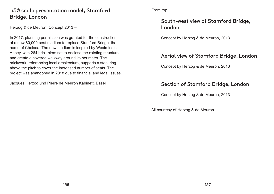## 1:50 scale presentation model, Stamford Bridge, London

Herzog & de Meuron, Concept 2013 –

In 2017, planning permission was granted for the construction of a new 60,000-seat stadium to replace Stamford Bridge, the home of Chelsea. The new stadium is inspired by Westminster Abbey, with 264 brick piers set to enclose the existing structure and create a covered walkway around its perimeter. The brickwork, referencing local architecture, supports a steel ring above the pitch to cover the increased number of seats. The project was abandoned in 2018 due to financial and legal issues.

Jacques Herzog und Pierre de Meuron Kabinett, Basel

From top

## South-west view of Stamford Bridge, London

Concept by Herzog & de Meuron, 2013

#### Aerial view of Stamford Bridge, London

Concept by Herzog & de Meuron, 2013

## Section of Stamford Bridge, London

Concept by Herzog & de Meuron, 2013

All courtesy of Herzog & de Meuron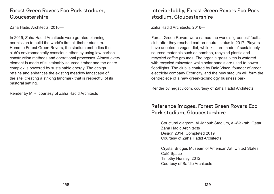#### Forest Green Rovers Eco Park stadium, Gloucestershire

Zaha Hadid Architects, 2016—

In 2019, Zaha Hadid Architects were granted planning permission to build the world's first all-timber stadium. Home to Forest Green Rovers, the stadium embodies the club's environmentally conscious ethos by using low-carbon construction methods and operational processes. Almost every element is made of sustainably sourced timber and the entire complex is powered by sustainable energy. The design retains and enhances the existing meadow landscape of the site, creating a striking landmark that is respectful of its pastoral setting.

Render by MIR, courtesy of Zaha Hadid Architects

## Interior lobby, Forest Green Rovers Eco Park stadium, Gloucestershire

Zaha Hadid Architects, 2016—

Forest Green Rovers were named the world's 'greenest' football club after they reached carbon-neutral status in 2017. Players have adopted a vegan diet, while kits are made of sustainably sourced materials such as bamboo, recycled plastic and recycled coffee grounds. The organic grass pitch is watered with recycled rainwater, while solar panels are used to power floodlights. The club is chaired by Dale Vince, founder of green electricity company Ecotricity, and the new stadium will form the centrepiece of a new green-technology business park.

Render by negativ.com, courtesy of Zaha Hadid Architects

#### Reference images, Forest Green Rovers Eco Park stadium, Gloucestershire

Structural diagram, Al Janoub Stadium, Al-Wakrah, Qatar Zaha Hadid Architects Design 2014, Completed 2019 Courtesy of Zaha Hadid Architects

Crystal Bridges Museum of American Art, United States, Café Space Timothy Hursley, 2012 Courtesy of Safdie Architects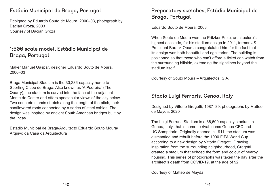#### Estádio Municipal de Braga, Portugal

Designed by Eduardo Souto de Moura, 2000–03, photograph by Dacian Groza, 2003 Courtesy of Dacian Groza

## 1:500 scale model, Estádio Municipal de Braga, Portugal

Maker Manuel Gaspar, designer Eduardo Souto de Moura, 2000–03

Braga Municipal Stadium is the 30,286-capacity home to Sporting Clube de Braga. Also known as 'A Pedreira' (The Quarry), the stadium is carved into the face of the adjacent Monte de Castro and offers spectacular views of the city below. Two concrete stands stretch along the length of the pitch, their cantilevered roofs connected by a series of steel cables. The design was inspired by ancient South American bridges built by the Incas.

Estádio Municipal de Braga/Arquitecto Eduardo Souto Moura/ Arquivo da Casa da Arquitectura

# Preparatory sketches, Estádio Municipal de Braga, Portugal

Eduardo Souto de Moura, 2003

When Souto de Moura won the Pritzker Prize, architecture's highest accolade, for his stadium design in 2011, former US President Barack Obama congratulated him for the fact that its design was both beautiful and egalitarian. The building is positioned so that those who can't afford a ticket can watch from the surrounding hillside, extending the sightlines beyond the stadium itself.

Courtesy of Souto Moura – Arquitectos, S.A.

## Stadio Luigi Ferraris, Genoa, Italy

Designed by Vittorio Gregotti, 1987–89, photographs by Matteo de Mayda, 2020

The Luigi Ferraris Stadium is a 36,600-capacity stadium in Genoa, Italy, that is home to rival teams Genoa CFC and UC Sampdoria. Originally opened in 1911, the stadium was dismantled and rebuilt before the 1990 FIFA World Cup according to a new design by Vittorio Gregotti. Drawing inspiration from the surrounding neighbourhood, Gregotti created a stadium that echoed the form and colour of nearby housing. This series of photographs was taken the day after the architect's death from COVID-19, at the age of 92.

Courtesy of Matteo de Mayda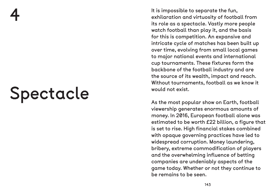the is impossible to separate the fun,<br>exhilaration and virtuosity of footboth<br>its role as a spectacle. Vastly more<br>watch football than play it, and the<br>for this is competition. An expansive<br>intricate cycle of matches has exhilaration and virtuosity of football from its role as a spectacle. Vastly more people watch football than play it, and the basis for this is competition. An expansive and intricate cycle of matches has been built up over time, evolving from small local games to major national events and international cup tournaments. These fixtures form the backbone of the football industry and are the source of its wealth, impact and reach. Without tournaments, football as we know it would not exist.

As the most popular show on Earth, football viewership generates enormous amounts of money. In 2016, European football alone was estimated to be worth £22 billion, a figure that is set to rise. High financial stakes combined with opaque governing practices have led to widespread corruption. Money laundering, bribery, extreme commodification of players and the overwhelming influence of betting companies are undeniably aspects of the game today. Whether or not they continue to be remains to be seen.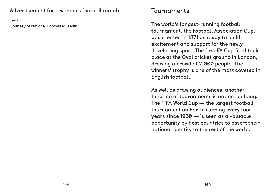#### Advertisement for a women's football match

1895 Courtesy of National Football Museum

# Tournaments

The world's longest-running football tournament, the Football Association Cup, was created in 1871 as a way to build excitement and support for the newly developing sport. The first FA Cup final took place at the Oval cricket ground in London, drawing a crowd of 2,000 people. The winners' trophy is one of the most coveted in English football.

As well as drawing audiences, another function of tournaments is nation-building. The FIFA World Cup — the largest football tournament on Earth, running every four years since 1930 — is seen as a valuable opportunity by host countries to assert their national identity to the rest of the world.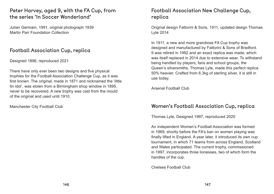#### Peter Harvey, aged 9, with the FA Cup, from the series 'In Soccer Wonderland'

Julian Germain, 1991, original photograph 1939 Martin Parr Foundation Collection

#### Football Association Cup, replica

Designed 1896, reproduced 2021

There have only ever been two designs and five physical trophies for the Football Association Challenge Cup, as it was first known. The original, made in 1871 and nicknamed the 'little tin idol', was stolen from a Birmingham shop window in 1895, never to be recovered. A new trophy was cast from the mould of the original and used until 1910.

Manchester City Football Club

### Football Association New Challenge Cup, replica

Original design Fattorini & Sons, 1911, updated design Thomas Lyte 2014

In 1911, a new and more grandiose FA Cup trophy was designed and manufactured by Fattorini & Sons of Bradford. It was retired in 1992 and an exact replica was made, which was itself replaced in 2014 due to extensive wear. To withstand being handled by players, fans and school groups, the Queen's silversmiths, Thomas Lyte, made this perfect replica 50% heavier. Crafted from 6.3kg of sterling silver, it is still in use today.

Arsenal Football Club

#### Women's Football Association Cup, replica

Thomas Lyte, Designed 1997, reproduced 2020

An independent Women's Football Association was formed in 1969, shortly before the FA's ban on women playing was finally lifted in England. A year later, it introduced its own cup tournament, in which 71 teams from across England, Scotland and Wales participated. The current trophy, commissioned in 1997, incorporates three lionesses, two of which form the handles of the cup.

Chelsea Football Club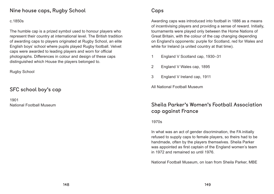#### Nine house caps, Rugby School

#### c.1850s

The humble cap is a prized symbol used to honour players who represent their country at international level. The British tradition of awarding caps to players originated at Rugby School, an elite English boys' school where pupils played Rugby football. Velvet caps were awarded to leading players and worn for official photographs. Differences in colour and design of these caps distinguished which House the players belonged to.

Awarding caps was introduced into football in 1886 as a means of incentivising players and providing a sense of reward. Initially, tournaments were played only between the Home Nations of Great Britain, with the colour of the cap changing depending on England's opponents: purple for Scotland, red for Wales and white for Ireland (a united country at that time).

Rugby School

### SFC school boy's cap

1901 National Football Museum

### Caps

- 1 England V Scotland cap, 1930–31
- 2 England V Wales cap, 1895
- 3 England V Ireland cap, 1911

All National Football Museum

# Sheila Parker's Women's Football Association cap against France

1970s

In what was an act of gender discrimination, the FA initially refused to supply caps to female players, so theirs had to be handmade, often by the players themselves. Sheila Parker was appointed as first captain of the England women's team in 1972 and remained so until 1976.

National Football Museum, on loan from Sheila Parker, MBE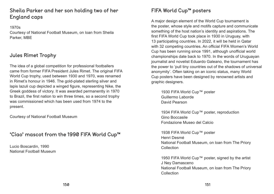# Sheila Parker and her son holding two of her England caps

1970s Courtesy of National Football Museum, on loan from Sheila Parker, MBE

#### Jules Rimet Trophy

The idea of a global competition for professional footballers came from former FIFA President Jules Rimet. The original FIFA World Cup trophy, used between 1930 and 1970, was renamed in Rimet's honour in 1946. The gold-plated sterling silver and lapis lazuli cup depicted a winged figure, representing Nike, the Greek goddess of victory. It was awarded permanently in 1970 to Brazil, the first nation to win three times, so a second trophy was commissioned which has been used from 1974 to the present.

Courtesy of National Football Museum

#### 'Ciao' mascot from the 1990 FIFA World Cup™

Lucio Boscardin, 1990 National Football Museum

#### FIFA World Cup™ posters

1938 FIFA World Cup™ poster Henri Desmé National Football Museum, on loan from The Priory **Collection** 

1950 FIFA World Cup™ poster, signed by the artist J Ney Damasceno National Football Museum, on loan from The Priory **Collection** 

A major design element of the World Cup tournament is the poster, whose style and motifs capture and communicate something of the host nation's identity and aspirations. The first FIFA World Cup took place in 1930 in Uruguay, with 13 participating countries. In 2022, it will be held in Qatar with 32 competing countries. An official FIFA Women's World Cup has been running since 1991, although unofficial world championships date back to 1970. In the words of Uruguayan journalist and novelist Eduardo Galeano, the tournament has the power to 'pull tiny countries out of the shadows of universal anonymity'. Often taking on an iconic status, many World Cup posters have been designed by renowned artists and graphic designers.

1930 FIFA World Cup™ poster Guillermo Laborde David Pearson

1934 FIFA World Cup™ poster, reproduction Gino Boccasile Fondazione Museo del Calcio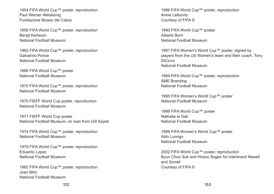1954 FIFA World Cup™ poster, reproduction Paul Werner Weiskönig Fondazione Museo del Calcio

1958 FIFA World Cup™ poster, reproduction Bengt Karlsson National Football Museum

1962 FIFA World Cup™ poster, reproduction Galvarino Ponce National Football Museum

1970 FIFA World Cup™ poster, reproduction National Football Museum

1966 FIFA World Cup™ poster National Football Museum

1974 FIFA World Cup™ poster, reproduction National Football Museum

1978 FIFA World Cup™ poster, reproduction Eduardo Lopez National Football Museum

1982 FIFA World Cup™ poster, reproduction Joan Miró National Football Museum

1986 FIFA World Cup™ poster, reproduction Annie Leibovitz Courtesy of FIFA ©

1970 FIEFF World Cup poster, reproduction National Football Museum

1971 FIEFF World Cup poster National Football Museum, on loan from Gill Sayell 1991 FIFA Women's World Cup™ poster, signed by **DiCicco** National Football Museum

1994 FIFA World Cup™ poster, reproduction SME Branding National Football Museum

1995 FIFA Women's World Cup™ poster National Football Museum

1999 FIFA Women's World Cup™ poster Aldo Luongo National Football Museum

1990 FIFA World Cup™ poster Alberto Burri National Football Museum

# players from the US Women's team and their coach, Tony

1998 FIFA World Cup™ poster Nathalie le Gall National Football Museum

2002 FIFA World Cup™ poster, reproduction Byun Choo Suk and Hirano Sogen for Interbrand Newell and Sorrell Courtesy of FIFA ©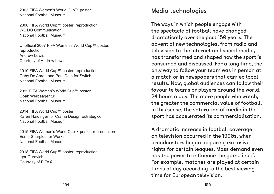2003 FIFA Women's World Cup™ poster National Football Museum

2006 FIFA World Cup™ poster, reproduction WE DO Communication National Football Museum

2010 FIFA World Cup™ poster, reproduction Gaby De Abreu and Paul Dale for Switch National Football Museum

Unofficial 2007 FIFA Women's World Cup™ poster, reproduction Andrew Lewis Courtesy of Andrew Lewis

2018 FIFA World Cup™ poster, reproduction Igor Gurovich Courtesy of FIFA ©

2011 FIFA Women's World Cup™ poster Opak Werbeagentur National Football Museum

2014 FIFA World Cup™ poster Karen Haidinger for Crama Design Estratégico National Football Museum

2015 FIFA Women's World Cup™ poster, reproduction Esme Sharples for Works National Football Museum

# Media technologies

The ways in which people engage with the spectacle of football have changed dramatically over the past 150 years. The advent of new technologies, from radio and television to the internet and social media, has transformed and shaped how the sport is consumed and discussed. For a long time, the only way to follow your team was in person at a match or in newspapers that carried local results. Now, global audiences can follow their favourite teams or players around the world, 24 hours a day. The more people who watch, the greater the commercial value of football. In this sense, the saturation of media in the sport has accelerated its commercialisation.

A dramatic increase in football coverage on television occurred in the 1990s, when broadcasters began acquiring exclusive rights for certain leagues. Mass demand even has the power to influence the game itself. For example, matches are played at certain times of day according to the best viewing time for European television.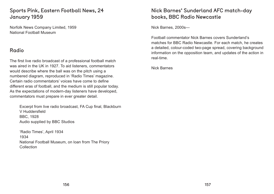### Sports Pink, Eastern Football News, 24 January 1959

Norfolk News Company Limited, 1959 National Football Museum

#### Radio

'Radio Times', April 1934 1934 National Football Museum, on loan from The Priory **Collection** 

The first live radio broadcast of a professional football match was aired in the UK in 1927. To aid listeners, commentators would describe where the ball was on the pitch using a numbered diagram, reproduced in 'Radio Times' magazine. Certain radio commentators' voices have come to define different eras of football, and the medium is still popular today. As the expectations of modern-day listeners have developed, commentators must prepare in ever greater detail.

Excerpt from live radio broadcast, FA Cup final, Blackburn V Huddersfield BBC, 1928 Audio supplied by BBC Studios

### Nick Barnes' Sunderland AFC match-day books, BBC Radio Newcastle

Nick Barnes, 2000s—

Football commentator Nick Barnes covers Sunderland's matches for BBC Radio Newcastle. For each match, he creates a detailed, colour-coded two-page spread, covering background information on the opposition team, and updates of the action in real-time.

Nick Barnes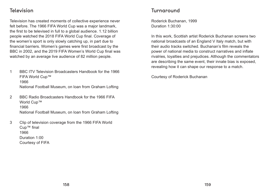#### Television

Television has created moments of collective experience never felt before. The 1966 FIFA World Cup was a major landmark, the first to be televised in full to a global audience. 1.12 billion people watched the 2018 FIFA World Cup final. Coverage of the women's sport is only slowly catching up, in part due to financial barriers. Women's games were first broadcast by the BBC in 2002, and the 2019 FIFA Women's World Cup final was watched by an average live audience of 82 million people.

- 1 BBC ITV Television Broadcasters Handbook for the 1966 FIFA World Cup™ 1966 National Football Museum, on loan from Graham Lofting
- 2 BBC Radio Broadcasters Handbook for the 1966 FIFA World Cup™ 1966 National Football Museum, on loan from Graham Lofting
- 3 Clip of television coverage from the 1966 FIFA World Cup™ final 1966 Duration 1:00 Courtesy of FIFA

#### Turnaround

Roderick Buchanan, 1999 Duration 1:30:00

In this work, Scottish artist Roderick Buchanan screens two national broadcasts of an England V Italy match, but with their audio tracks switched. Buchanan's film reveals the power of national media to construct narratives and inflate rivalries, loyalties and prejudices. Although the commentators are describing the same event, their innate bias is exposed, revealing how it can shape our response to a match.

Courtesy of Roderick Buchanan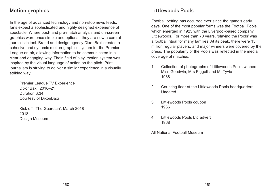#### Motion graphics

In the age of advanced technology and non-stop news feeds, fans expect a sophisticated and highly designed experience of spectacle. Where post- and pre-match analysis and on-screen graphics were once simple and optional, they are now a central journalistic tool. Brand and design agency DixonBaxi created a cohesive and dynamic motion-graphics system for the Premier League on-air, allowing information to be communicated in a clear and engaging way. Their 'field of play' motion system was inspired by the visual language of action on the pitch. Print journalism is striving to deliver a similar experience in a visually striking way.

Premier League TV Experience DixonBaxi, 2016–21 Duration 3:34 Courtesy of DixonBaxi

Kick off, 'The Guardian', March 2018 2018 Design Museum

#### Littlewoods Pools

Football betting has occurred ever since the game's early days. One of the most popular forms was the Football Pools, which emerged in 1923 with the Liverpool-based company Littlewoods. For more than 70 years, 'playing the Pools' was a football ritual for many families. At its peak, there were 15 million regular players, and major winners were covered by the press. The popularity of the Pools was reflected in the media coverage of matches.

- 1 Collection of photographs of Littlewoods Pools winners, Miss Goodwin, Mrs Piggott and Mr Tyvie 1938
- 2 Counting floor at the Littlewoods Pools headquarters Undated
- 3 Littlewoods Pools coupon 1966
- 4 Littlewoods Pools Ltd advert 1968
- All National Football Museum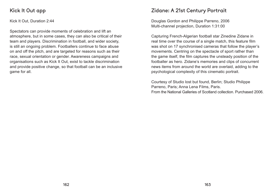#### Kick It Out app

Kick It Out, Duration 2:44

Spectators can provide moments of celebration and lift an atmosphere, but in some cases, they can also be critical of their team and players. Discrimination in football, and wider society, is still an ongoing problem. Footballers continue to face abuse on and off the pitch, and are targeted for reasons such as their race, sexual orientation or gender. Awareness campaigns and organisations such as Kick It Out, exist to tackle discrimination and provide positive change, so that football can be an inclusive game for all.

#### Zidane: A 21st Century Portrait

Douglas Gordon and Philippe Parreno, 2006 Multi-channel projection, Duration 1:31:00

Capturing French-Algerian football star Zinedine Zidane in real time over the course of a single match, this feature film was shot on 17 synchronised cameras that follow the player's movements. Centring on the spectacle of sport rather than the game itself, the film captures the unsteady position of the footballer as hero. Zidane's memories and clips of concurrent news items from around the world are overlaid, adding to the psychological complexity of this cinematic portrait.

Courtesy of Studio lost but found, Berlin; Studio Philippe Parreno, Paris; Anna Lena Films, Paris. From the National Galleries of Scotland collection. Purchased 2006.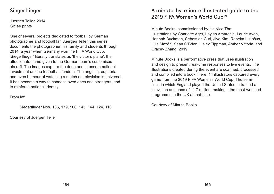#### Siegerflieger

Juergen Teller, 2014 Giclee prints

One of several projects dedicated to football by German photographer and football fan Juergen Teller, this series documents the photographer, his family and students through 2014, a year when Germany won the FIFA World Cup. 'Siegerflieger' literally translates as 'the victor's plane', the affectionate name given to the German team's customised aircraft. The images capture the deep and intense emotional investment unique to football fandom. The anguish, euphoria and even humour of watching a match on television is universal. It has become a way to connect loved ones and strangers, and to reinforce national identity.

From left

Siegerflieger Nos. 166, 179, 106, 143, 144, 124, 110

Courtesy of Juergen Teller

# A minute-by-minute illustrated guide to the 2019 FIFA Women's World Cup™

Minute Books, commissioned by It's Nice That Illustrations by Charlotte Ager, Laylah Amarchih, Laurie Avon, Hannah Buckman, Sebastian Curi, Jiye Kim, Rebeka Lukošus, Luis Mazón, Sean O'Brien, Haley Tippman, Amber Vittoria, and Gracey Zhang, 2019

Minute Books is a performative press that uses illustration and design to present real-time responses to live events. The illustrations created during the event are scanned, processed and compiled into a book. Here, 14 illustrators captured every game from the 2019 FIFA Women's World Cup. The semifinal, in which England played the United States, attracted a television audience of 11.7 million, making it the most-watched programme in the UK at that time.

Courtesy of Minute Books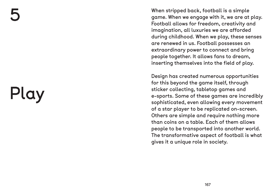When stripped back, football is a simple<br>game. When we engage with it, we are at<br>Football allows for freedom, creativity an<br>imagination, all luxuries we are afforded<br>during childhood. When we play, these se<br>are renewed in game. When we engage with it, we are at play. Football allows for freedom, creativity and imagination, all luxuries we are afforded during childhood. When we play, these senses are renewed in us. Football possesses an extraordinary power to connect and bring people together. It allows fans to dream, inserting themselves into the field of play.

Design has created numerous opportunities for this beyond the game itself, through sticker collecting, tabletop games and e-sports. Some of these games are incredibly sophisticated, even allowing every movement of a star player to be replicated on-screen. Others are simple and require nothing more than coins on a table. Each of them allows people to be transported into another world. The transformative aspect of football is what gives it a unique role in society.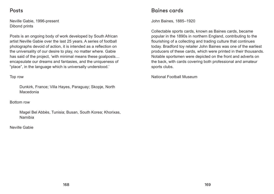#### Posts

Neville Gabie, 1996-present Dibond prints

Posts is an ongoing body of work developed by South African artist Neville Gabie over the last 25 years. A series of football photographs devoid of action, it is intended as a reflection on the universality of our desire to play, no matter where. Gabie has said of the project, 'with minimal means these goalposts… encapsulate our dreams and fantasies, and the uniqueness of "place", in the language which is universally understood.'

#### Top row

Dunkirk, France; Villa Hayes, Paraguay; Skopje, North Macedonia

Bottom row

Magel Bel Abbès, Tunisia; Busan, South Korea; Khorixas, Namibia

Neville Gabie

#### Baines cards

John Baines, 1885–1920

Collectable sports cards, known as Baines cards, became popular in the 1890s in northern England, contributing to the flourishing of a collecting and trading culture that continues today. Bradford toy retailer John Baines was one of the earliest producers of these cards, which were printed in their thousands. Notable sportsmen were depicted on the front and adverts on the back, with cards covering both professional and amateur sports clubs.

National Football Museum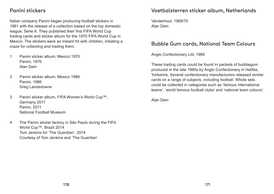#### Panini stickers

Italian company Panini began producing football stickers in 1961 with the release of a collection based on the top domestic league, Serie A. They published their first FIFA World Cup trading cards and sticker album for the 1970 FIFA World Cup in Mexico. The stickers were an instant hit with children, initiating a craze for collecting and trading them.

- 1 Panini sticker album, Mexico 1970 Panini, 1970 Alan Dein
- 2 Panini sticker album, Mexico 1986 Panini, 1986 Greg Landsdowne
- 3 Panini sticker album, FIFA Women's World Cup™, Germany 2011 Panini, 2011 National Football Museum
- 4 The Panini sticker factory in São Paulo during the FIFA World Cup™, Brazil 2014 Tom Jenkins for 'The Guardian', 2014 Courtesy of Tom Jenkins and 'The Guardian'

#### Voetbalsterren sticker album, Netherlands

Vanderhout, 1969/70 Alan Dein

#### Bubble Gum cards, National Team Colours

Anglo Confectionery Ltd, 1969

These trading cards could be found in packets of bubblegum produced in the late 1960s by Anglo Confectionery in Halifax, Yorkshire. Several confectionery manufacturers released similar cards on a range of subjects, including football. Whole sets could be collected in categories such as 'famous international teams', 'world famous football clubs' and 'national team colours'.

Alan Dein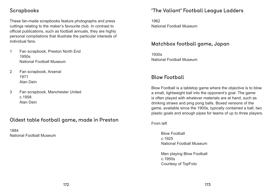#### Scrapbooks

These fan-made scrapbooks feature photographs and press cuttings relating to the maker's favourite club. In contrast to official publications, such as football annuals, they are highly personal compilations that illustrate the particular interests of individual fans.

- 1 Fan scrapbook, Preston North End 1950s National Football Museum
- 2 Fan scrapbook, Arsenal 1971 Alan Dein
- 3 Fan scrapbook, Manchester United c.1958 Alan Dein

#### Oldest table football game, made in Preston

1884 National Football Museum

#### 'The Valiant' Football League Ladders

1962 National Football Museum

#### Matchbox football game, Japan

1930s National Football Museum

#### Blow Football

Blow Football is a tabletop game where the objective is to blow a small, lightweight ball into the opponent's goal. The game is often played with whatever materials are at hand, such as drinking straws and ping pong balls. Boxed versions of the game, available since the 1900s, typically contained a ball, two plastic goals and enough pipes for teams of up to three players.

From left

Blow Football c.1925 National Football Museum

Men playing Blow Football c.1950s Courtesy of TopFoto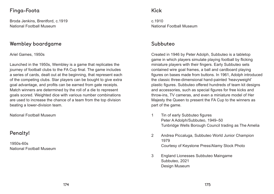#### Finga-Foota

Broda Jenkins, Brentford, c.1919 National Football Museum

#### Wembley boardgame

Ariel Games, 1950s

Launched in the 1950s, Wembley is a game that replicates the journey of football clubs to the FA Cup final. The game includes a series of cards, dealt out at the beginning, that represent each of the competing clubs. Star players can be bought to give extra goal advantage, and profits can be earned from gate receipts. Match winners are determined by the roll of a die to represent goals scored. Weighted dice with various number combinations are used to increase the chance of a team from the top division beating a lower-division team.

National Football Museum

### Penalty!

1950s-60s National Football Museum

#### Kick

c.1910 National Football Museum

#### Subbuteo

Created in 1946 by Peter Adolph, Subbuteo is a tabletop game in which players simulate playing football by flicking miniature players with their fingers. Early Subbuteo sets contained wire goal frames, a ball and cardboard playing figures on bases made from buttons. In 1961, Adolph introduced the classic three-dimensional hand-painted 'heavyweight' plastic figures. Subbuteo offered hundreds of team kit designs and accessories, such as special figures for free kicks and throw-ins, TV cameras, and even a miniature model of Her Majesty the Queen to present the FA Cup to the winners as part of the game.

Tunbridge Wells Borough Council trading as The Amelia

- 1 Tin of early Subbuteo figures Peter A Adolph/Subbuteo, 1949–50
- 2 Andrea Piccaluga, Subbuteo World Junior Champion 1979 Courtesy of Keystone Press/Alamy Stock Photo
- 3 England Lionesses Subbuteo Maingame Subbuteo, 2021 Design Museum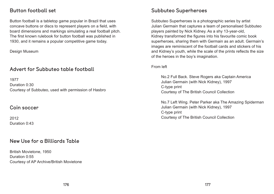#### Button football set

Button football is a tabletop game popular in Brazil that uses concave buttons or discs to represent players on a field, with board dimensions and markings simulating a real football pitch. The first known rulebook for button football was published in 1930, and it remains a popular competitive game today.

Design Museum

#### Advert for Subbuteo table football

1977 Duration 0:30 Courtesy of Subbuteo, used with permission of Hasbro

#### Coin soccer

2012 Duration 0:43

#### New Use for a Billiards Table

British Movietone, 1950 Duration 0:55 Courtesy of AP Archive/British Movietone

#### Subbuteo Superheroes

Subbuteo Superheroes is a photographic series by artist Julian Germain that captures a team of personalised Subbuteo players painted by Nick Kidney. As a shy 13-year-old, Kidney transformed the figures into his favourite comic book superheroes, sharing them with Germain as an adult. Germain's images are reminiscent of the football cards and stickers of his and Kidney's youth, while the scale of the prints reflects the size of the heroes in the boy's imagination.

From left

No.2 Full Back. Steve Rogers aka Captain America Julian Germain (with Nick Kidney), 1997 C-type print Courtesy of The British Council Collection

No.7 Left Wing. Peter Parker aka The Amazing Spiderman Julian Germain (with Nick Kidney), 1997 C-type print Courtesy of The British Council Collection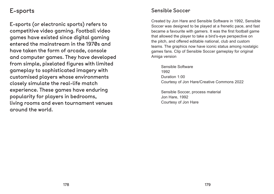# E-sports

E-sports (or electronic sports) refers to competitive video gaming. Football video games have existed since digital gaming entered the mainstream in the 1970s and have taken the form of arcade, console and computer games. They have developed from simple, pixelated figures with limited gameplay to sophisticated imagery with customised players whose environments closely simulate the real-life match experience. These games have enduring popularity for players in bedrooms, living rooms and even tournament venues around the world.

#### Sensible Soccer

Created by Jon Hare and Sensible Software in 1992, Sensible Soccer was designed to be played at a frenetic pace, and fast became a favourite with gamers. It was the first football game that allowed the player to take a bird's-eye perspective on the pitch, and offered editable national, club and custom teams. The graphics now have iconic status among nostalgic games fans. Clip of Sensible Soccer gameplay for original Amiga version

Sensible Software 1992 Duration 1:00 Courtesy of Jon Hare/Creative Commons 2022

Sensible Soccer, process material Jon Hare, 1992 Courtesy of Jon Hare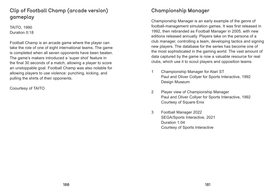# Clip of Football Champ (arcade version) gameplay

TAITO, 1990 Duration 0:18

Football Champ is an arcade game where the player can take the role of one of eight international teams. The game is completed when all seven opponents have been beaten. The game's makers introduced a 'super shot' feature in the final 30 seconds of a match, allowing a player to score an unstoppable goal. Football Champ was also notable for allowing players to use violence: punching, kicking, and pulling the shirts of their opponents.

Coourtesy of TAITO

#### Championship Manager

Championship Manager is an early example of the genre of football-management simulation games. It was first released in 1992, then rebranded as Football Manager in 2005, with new editions released annually. Players take on the persona of a club manager, controlling a team, developing tactics and signing new players. The database for the series has become one of the most sophisticated in the gaming world. The vast amount of data captured by the game is now a valuable resource for real clubs, which use it to scout players and opposition teams.

- 1 Championship Manager for Atari ST Paul and Oliver Collyer for Sports Interactive, 1992 Design Museum
- 2 Player view of Championship Manager Paul and Oliver Collyer for Sports Interactive, 1992 Courtesy of Square Enix
- 3 Football Manager 2022 SEGA/Sports Interactive, 2021 Duration 1:04 Courtesy of Sports Interactive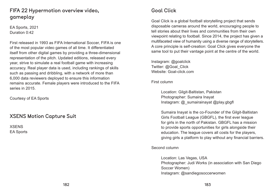# FIFA 22 Hypermotion overview video, gameplay

EA Sports, 2021 Duration 0:42

First released in 1993 as FIFA International Soccer, FIFA is one of the most popular video games of all time. It differentiated itself from other digital games by providing a three-dimensional representation of the pitch. Updated editions, released every year, strive to simulate a real football game with increasing accuracy. Real player data is used, including rankings of skills such as passing and dribbling, with a network of more than 6,000 data reviewers deployed to ensure this information remains accurate. Female players were introduced to the FIFA series in 2015.

Location: Gilgit-Baltistan, Pakistan Photographer: Sumaira Inayat Instagram: @\_sumairainayat @play.gbgfl

Courtesy of EA Sports

#### XSENS Motion Capture Suit

XSENS EA Sports

#### Goal Click

Goal Click is a global football storytelling project that sends disposable cameras around the world, encouraging people to tell stories about their lives and communities from their own viewpoint relating to football. Since 2014, the project has given a multifaceted view of humanity using a diverse range of storytellers. A core principle is self-creation: Goal Click gives everyone the same tool to put their vantage point at the centre of the world.

Instagram: @goalclick Twitter: @Goal\_Click Website: Goal-click.com

First column

Sumaira Inayat is the co-Founder of the Gilgit-Baltistan Girls Football League (GBGFL), the first ever league for girls in the north of Pakistan. GBGFL has a mission to provide sports opportunities for girls alongside their education. The league covers all costs for the players, giving girls a platform to play without any financial barriers.

Second column

Location: Las Vegas, USA Photographer: Judi Works (in association with San Diego Soccer Women) Instagram: @sandiegosoccerwomen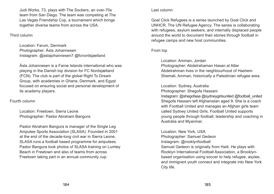Judi Works, 73, plays with The Sockers, an over-70s team from San Diego. The team was competing at The Las Vegas Friendship Cup, a tournament which brings together diverse teams from across the USA.

#### Third column

Location: Farum, Denmark Photographer: Ásla Johannesen Instagram: @aslajohannesen7 @fcnordsjaelland

Ásla Johannesen is a Faroe Islands international who was playing in the Danish top division for FC Nordsjælland (FCN). The club is part of the global Right To Dream Group, with academies in Ghana, Denmark, and Egypt focused on ensuring social and personal development of its academy players.

Fourth column

Location: Freetown, Sierra Leone Photographer: Pastor Abraham Bangura

Pastor Abraham Bangura is manager of the Single Leg Amputee Sports Association (SLASA). Founded in 2001 at the end of the decade-long civil war in Sierra Leone, SLASA runs a football based programme for amputees. Pastor Bangura took photos of SLASA training on Lumley Beach in Freetown and also of teams from across Freetown taking part in an annual community cup.

#### Last column

Goal Click Refugees is a series launched by Goal Click and UNHCR, The UN Refugee Agency. The series is collaborating with refugees, asylum seekers, and internally displaced people around the world to document their stories through football in refugee camps and new host communities.

From top

Location: Amman, Jordan Photographer: Abdelrahaman Hasan al Attar Abdelrahman lives in the neighbourhood of Hashem Shemali, Amman, historically a Palestinian refugee area.

Location: Sydney, Australia Photographer: Shegofa Hassani Instagram: @shegofaaa @sydneygirlsunited @football\_united Shegofa Hassani left Afghanistan aged 9. She is a coach with Football United and manages an Afghan girls team called Sydney United Girls. Football United supports young people through football, leadership and coaching in Australia and Myanmar.

Location: New York, USA Photographer: Samuel Gedeon Instagram: @rooklynfootball Samuel Gedeon is originally from Haiti. He plays with Rooklyn International Football Association, a Brooklynbased organisation using soccer to help refugee, asylee, and immigrant youth connect and integrate into New York City life.